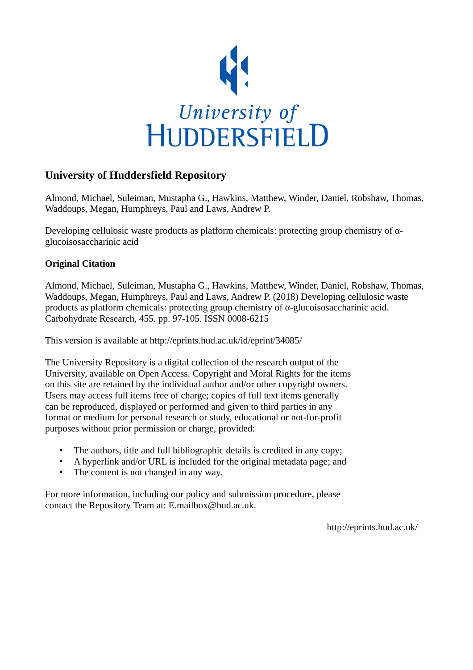

#### **University of Huddersfield Repository**

Almond, Michael, Suleiman, Mustapha G., Hawkins, Matthew, Winder, Daniel, Robshaw, Thomas, Waddoups, Megan, Humphreys, Paul and Laws, Andrew P.

Developing cellulosic waste products as platform chemicals: protecting group chemistry of  $\alpha$ glucoisosaccharinic acid

#### **Original Citation**

Almond, Michael, Suleiman, Mustapha G., Hawkins, Matthew, Winder, Daniel, Robshaw, Thomas, Waddoups, Megan, Humphreys, Paul and Laws, Andrew P. (2018) Developing cellulosic waste products as platform chemicals: protecting group chemistry of α-glucoisosaccharinic acid. Carbohydrate Research, 455. pp. 97-105. ISSN 0008-6215

This version is available at http://eprints.hud.ac.uk/id/eprint/34085/

The University Repository is a digital collection of the research output of the University, available on Open Access. Copyright and Moral Rights for the items on this site are retained by the individual author and/or other copyright owners. Users may access full items free of charge; copies of full text items generally can be reproduced, displayed or performed and given to third parties in any format or medium for personal research or study, educational or not-for-profit purposes without prior permission or charge, provided:

- The authors, title and full bibliographic details is credited in any copy;
- A hyperlink and/or URL is included for the original metadata page; and
- The content is not changed in any way.

For more information, including our policy and submission procedure, please contact the Repository Team at: E.mailbox@hud.ac.uk.

http://eprints.hud.ac.uk/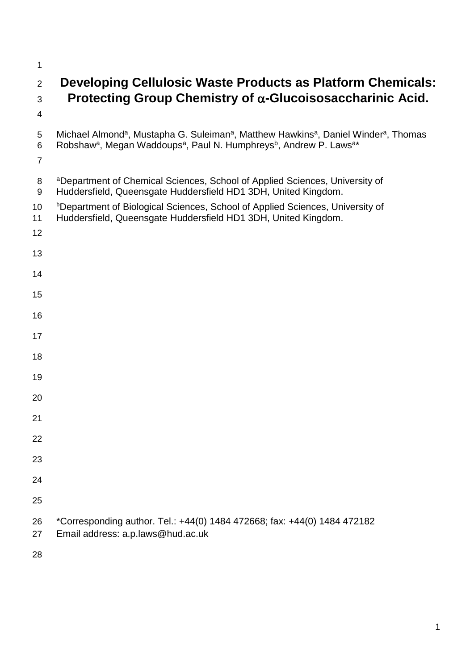## **Developing Cellulosic Waste Products as Platform Chemicals: Protecting Group Chemistry of -Glucoisosaccharinic Acid.**

- 
- 5 Michael Almond<sup>a</sup>, Mustapha G. Suleiman<sup>a</sup>, Matthew Hawkins<sup>a</sup>, Daniel Winder<sup>a</sup>, Thomas 6 Robshaw<sup>a</sup>, Megan Waddoups<sup>a</sup>, Paul N. Humphreys<sup>b</sup>, Andrew P. Laws<sup>a\*</sup>
- 

| 8 <sup>a</sup> Department of Chemical Sciences, School of Applied Sciences, University of |
|-------------------------------------------------------------------------------------------|
| 9 Huddersfield, Queensgate Huddersfield HD1 3DH, United Kingdom.                          |

- <sup>b</sup> Department of Biological Sciences, School of Applied Sciences, University of
- Huddersfield, Queensgate Huddersfield HD1 3DH, United Kingdom.
- 
- 
- 
- 
- 
- 
- 
- 
- 
- 
- 
- 
- 
- 
- 
- 
- 
- \*Corresponding author. Tel.: +44(0) 1484 472668; fax: +44(0) 1484 472182
- Email address: a.p.laws@hud.ac.uk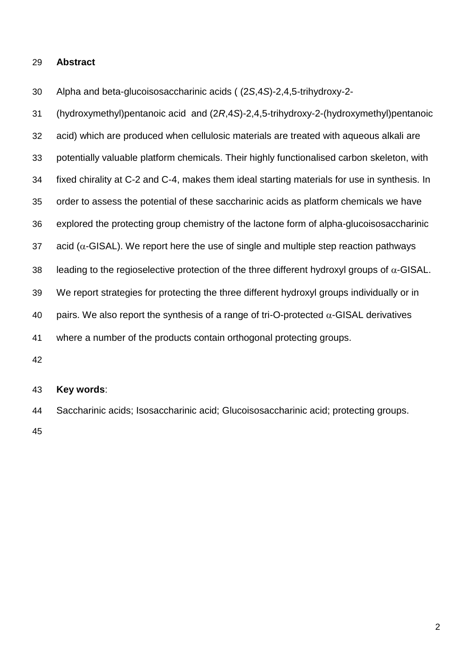#### **Abstract**

Alpha and beta-glucoisosaccharinic acids ( (2*S*,4*S*)-2,4,5-trihydroxy-2-

 (hydroxymethyl)pentanoic acid and (2*R*,4*S*)-2,4,5-trihydroxy-2-(hydroxymethyl)pentanoic acid) which are produced when cellulosic materials are treated with aqueous alkali are potentially valuable platform chemicals. Their highly functionalised carbon skeleton, with fixed chirality at C-2 and C-4, makes them ideal starting materials for use in synthesis. In order to assess the potential of these saccharinic acids as platform chemicals we have explored the protecting group chemistry of the lactone form of alpha-glucoisosaccharinic 37 acid ( $\alpha$ -GISAL). We report here the use of single and multiple step reaction pathways 38 leading to the regioselective protection of the three different hydroxyl groups of  $\alpha$ -GISAL. We report strategies for protecting the three different hydroxyl groups individually or in 40 pairs. We also report the synthesis of a range of tri-O-protected  $\alpha$ -GISAL derivatives where a number of the products contain orthogonal protecting groups. 

#### **Key words**:

 Saccharinic acids; Isosaccharinic acid; Glucoisosaccharinic acid; protecting groups.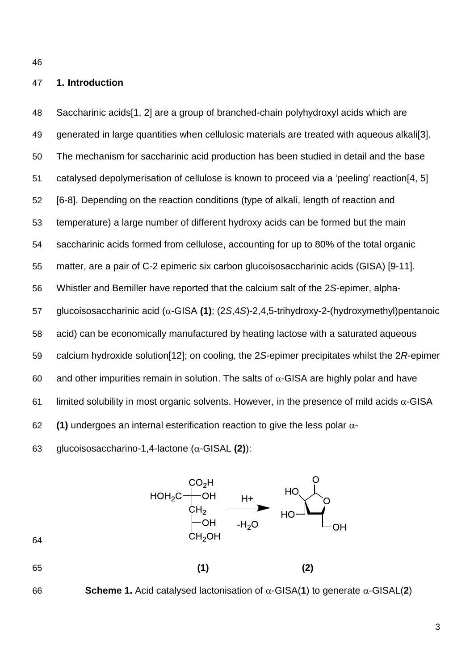#### **1. Introduction**

 Saccharinic acids[\[1,](#page-31-0) [2\]](#page-31-1) are a group of branched-chain polyhydroxyl acids which are generated in large quantities when cellulosic materials are treated with aqueous alkali[\[3\]](#page-31-2). The mechanism for saccharinic acid production has been studied in detail and the base catalysed depolymerisation of cellulose is known to proceed via a 'peeling' reaction[\[4,](#page-31-3) [5\]](#page-31-4) [\[6-8\]](#page-31-5). Depending on the reaction conditions (type of alkali, length of reaction and temperature) a large number of different hydroxy acids can be formed but the main saccharinic acids formed from cellulose, accounting for up to 80% of the total organic matter, are a pair of C-2 epimeric six carbon glucoisosaccharinic acids (GISA) [\[9-11\]](#page-31-6). Whistler and Bemiller have reported that the calcium salt of the 2*S*-epimer, alpha-57 glucoisosaccharinic acid (α-GISA (1); (2*S*,4*S*)-2,4,5-trihydroxy-2-(hydroxymethyl)pentanoic acid) can be economically manufactured by heating lactose with a saturated aqueous calcium hydroxide solution[\[12\]](#page-31-7); on cooling, the 2*S*-epimer precipitates whilst the 2*R*-epimer 60 and other impurities remain in solution. The salts of  $\alpha$ -GISA are highly polar and have 61 limited solubility in most organic solvents. However, in the presence of mild acids  $\alpha$ -GISA **(1)** undergoes an internal esterification reaction to give the less polar  $\alpha$ -

63 glucoisosaccharino-1,4-lactone  $(\alpha$ -GISAL (2)):

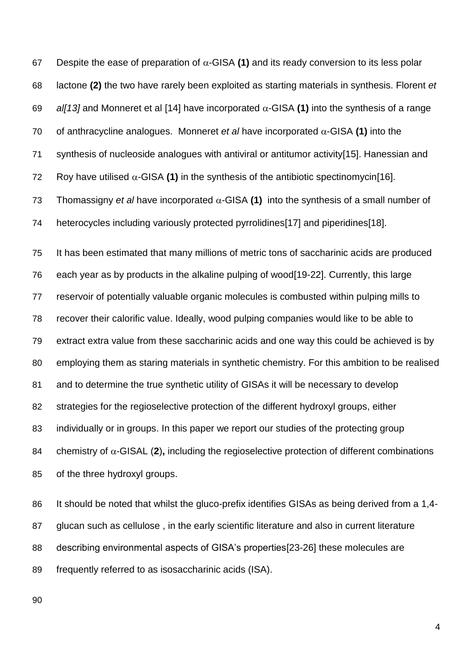67 Despite the ease of preparation of  $\alpha$ -GISA (1) and its ready conversion to its less polar lactone **(2)** the two have rarely been exploited as starting materials in synthesis. Florent *et all* 13] and Monneret et al [\[14\]](#page-31-9) have incorporated  $\alpha$ -GISA (1) into the synthesis of a range 70 of anthracycline analogues. Monneret *et al* have incorporated  $\alpha$ -GISA (1) into the synthesis of nucleoside analogues with antiviral or antitumor activity[\[15\]](#page-31-10). Hanessian and 72 Roy have utilised  $\alpha$ -GISA (1) in the synthesis of the antibiotic spectinomycin<sup>[\[16\]](#page-31-11)</sup>. 73 Thomassigny *et al* have incorporated  $\alpha$ -GISA (1) into the synthesis of a small number of heterocycles including variously protected pyrrolidines[\[17\]](#page-31-12) and piperidines[\[18\]](#page-31-13). It has been estimated that many millions of metric tons of saccharinic acids are produced each year as by products in the alkaline pulping of wood[\[19-22\]](#page-31-14). Currently, this large reservoir of potentially valuable organic molecules is combusted within pulping mills to recover their calorific value. Ideally, wood pulping companies would like to be able to extract extra value from these saccharinic acids and one way this could be achieved is by employing them as staring materials in synthetic chemistry. For this ambition to be realised and to determine the true synthetic utility of GISAs it will be necessary to develop strategies for the regioselective protection of the different hydroxyl groups, either individually or in groups. In this paper we report our studies of the protecting group 84 chemistry of  $\alpha$ -GISAL (2), including the regioselective protection of different combinations of the three hydroxyl groups.

86 It should be noted that whilst the gluco-prefix identifies GISAs as being derived from a 1,4- glucan such as cellulose , in the early scientific literature and also in current literature describing environmental aspects of GISA's properties[\[23-26\]](#page-32-0) these molecules are frequently referred to as isosaccharinic acids (ISA).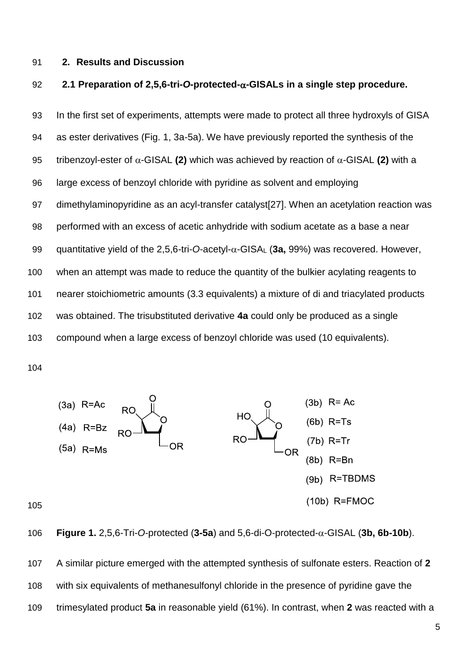#### **2. Results and Discussion**

#### **2.1 Preparation of 2,5,6-tri-***O***-protected--GISALs in a single step procedure.**

 In the first set of experiments, attempts were made to protect all three hydroxyls of GISA as ester derivatives (Fig. 1, 3a-5a). We have previously reported the synthesis of the 95 tribenzoyl-ester of  $\alpha$ -GISAL (2) which was achieved by reaction of  $\alpha$ -GISAL (2) with a large excess of benzoyl chloride with pyridine as solvent and employing dimethylaminopyridine as an acyl-transfer catalyst[\[27\]](#page-32-1). When an acetylation reaction was performed with an excess of acetic anhydride with sodium acetate as a base a near 99 quantitative yield of the 2,5,6-tri-*O*-acetyl- $\alpha$ -GISA<sub>L</sub> (3a, 99%) was recovered. However, when an attempt was made to reduce the quantity of the bulkier acylating reagents to nearer stoichiometric amounts (3.3 equivalents) a mixture of di and triacylated products was obtained. The trisubstituted derivative **4a** could only be produced as a single compound when a large excess of benzoyl chloride was used (10 equivalents).



106 **Figure 1.** 2,5,6-Tri-O-protected  $(3-5a)$  and 5,6-di-O-protected- $\alpha$ -GISAL  $(3b, 6b-10b)$ .

 A similar picture emerged with the attempted synthesis of sulfonate esters. Reaction of **2** with six equivalents of methanesulfonyl chloride in the presence of pyridine gave the trimesylated product **5a** in reasonable yield (61%). In contrast, when **2** was reacted with a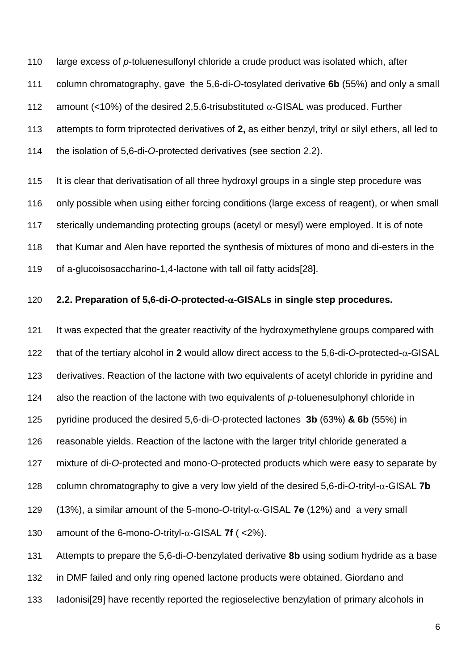large excess of *p*-toluenesulfonyl chloride a crude product was isolated which, after column chromatography, gave the 5,6-di-*O*-tosylated derivative **6b** (55%) and only a small 112 amount (<10%) of the desired 2,5,6-trisubstituted  $\alpha$ -GISAL was produced. Further attempts to form triprotected derivatives of **2,** as either benzyl, trityl or silyl ethers, all led to the isolation of 5,6-di-*O*-protected derivatives (see section 2.2).

 It is clear that derivatisation of all three hydroxyl groups in a single step procedure was only possible when using either forcing conditions (large excess of reagent), or when small sterically undemanding protecting groups (acetyl or mesyl) were employed. It is of note that Kumar and Alen have reported the synthesis of mixtures of mono and di-esters in the of a-glucoisosaccharino-1,4-lactone with tall oil fatty acids[\[28\]](#page-32-2).

#### **2.2. Preparation of 5,6-di-***O***-protected--GISALs in single step procedures.**

 It was expected that the greater reactivity of the hydroxymethylene groups compared with 122 that of the tertiary alcohol in 2 would allow direct access to the 5,6-di-*O*-protected- $\alpha$ -GISAL derivatives. Reaction of the lactone with two equivalents of acetyl chloride in pyridine and also the reaction of the lactone with two equivalents of *p*-toluenesulphonyl chloride in pyridine produced the desired 5,6-di-*O*-protected lactones **3b** (63%) **& 6b** (55%) in reasonable yields. Reaction of the lactone with the larger trityl chloride generated a mixture of di-*O*-protected and mono-O-protected products which were easy to separate by 128 column chromatography to give a very low yield of the desired 5,6-di-O-trityl- $\alpha$ -GISAL **7b**  $(13\%)$ , a similar amount of the 5-mono-O-trityl- $\alpha$ -GISAL **7e** (12%) and a very small 130 amount of the 6-mono-O-trityl- $\alpha$ -GISAL **7f** ( <2%). Attempts to prepare the 5,6-di-*O*-benzylated derivative **8b** using sodium hydride as a base

in DMF failed and only ring opened lactone products were obtained. Giordano and

Iadonisi[\[29\]](#page-32-3) have recently reported the regioselective benzylation of primary alcohols in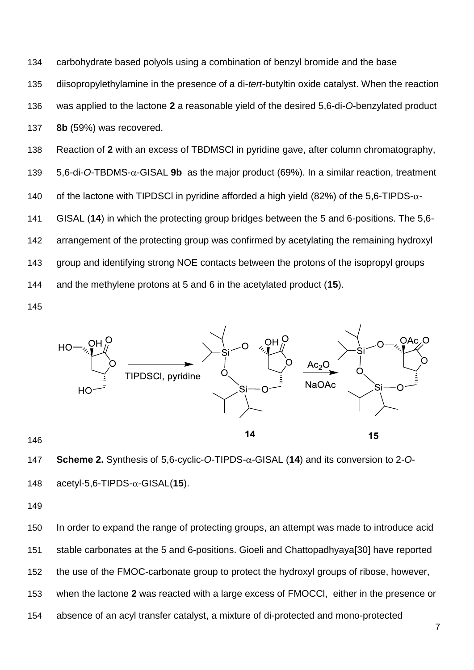carbohydrate based polyols using a combination of benzyl bromide and the base diisopropylethylamine in the presence of a di-*tert*-butyltin oxide catalyst. When the reaction was applied to the lactone **2** a reasonable yield of the desired 5,6-di-*O*-benzylated product **8b** (59%) was recovered. Reaction of **2** with an excess of TBDMSCl in pyridine gave, after column chromatography,

140 of the lactone with TIPDSCI in pyridine afforded a high yield (82%) of the 5,6-TIPDS- $\alpha$ -

139  $5,6$ -di-*O*-TBDMS- $\alpha$ -GISAL **9b** as the major product (69%). In a similar reaction, treatment

GISAL (**14**) in which the protecting group bridges between the 5 and 6-positions. The 5,6-

arrangement of the protecting group was confirmed by acetylating the remaining hydroxyl

group and identifying strong NOE contacts between the protons of the isopropyl groups

and the methylene protons at 5 and 6 in the acetylated product (**15**).



**Scheme 2.** Synthesis of 5,6-cyclic-O-TIPDS-α-GISAL (14) and its conversion to 2-O-148  $\alpha$ -cetyl-5.6-TIPDS- $\alpha$ -GISAL(15).

 In order to expand the range of protecting groups, an attempt was made to introduce acid stable carbonates at the 5 and 6-positions. Gioeli and Chattopadhyaya[\[30\]](#page-32-4) have reported the use of the FMOC-carbonate group to protect the hydroxyl groups of ribose, however, when the lactone **2** was reacted with a large excess of FMOCCl, either in the presence or absence of an acyl transfer catalyst, a mixture of di-protected and mono-protected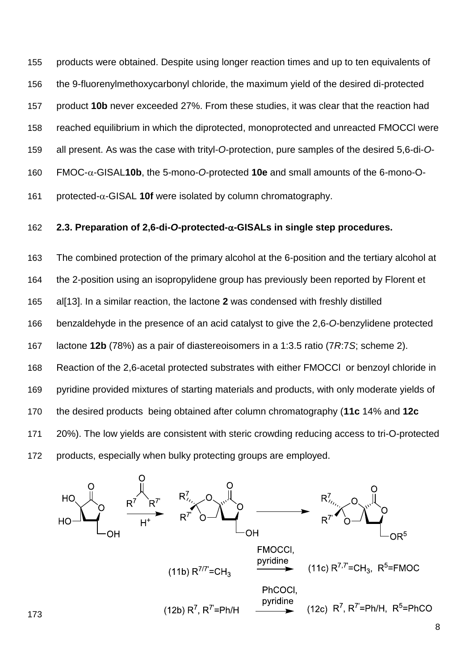products were obtained. Despite using longer reaction times and up to ten equivalents of the 9-fluorenylmethoxycarbonyl chloride, the maximum yield of the desired di-protected product **10b** never exceeded 27%. From these studies, it was clear that the reaction had reached equilibrium in which the diprotected, monoprotected and unreacted FMOCCl were all present. As was the case with trityl-*O*-protection, pure samples of the desired 5,6-di-*O*-160 FMOC-α-GISAL10b, the 5-mono-O-protected 10e and small amounts of the 6-mono-O-161 protected- $\alpha$ -GISAL **10f** were isolated by column chromatography.

#### **2.3. Preparation of 2,6-di-***O***-protected--GISALs in single step procedures.**

 The combined protection of the primary alcohol at the 6-position and the tertiary alcohol at the 2-position using an isopropylidene group has previously been reported by Florent et al[\[13\]](#page-31-8). In a similar reaction, the lactone **2** was condensed with freshly distilled benzaldehyde in the presence of an acid catalyst to give the 2,6-*O*-benzylidene protected lactone **12b** (78%) as a pair of diastereoisomers in a 1:3.5 ratio (7*R*:7*S*; scheme 2). Reaction of the 2,6-acetal protected substrates with either FMOCCl or benzoyl chloride in pyridine provided mixtures of starting materials and products, with only moderate yields of the desired products being obtained after column chromatography (**11c** 14% and **12c** 20%). The low yields are consistent with steric crowding reducing access to tri-O-protected products, especially when bulky protecting groups are employed.

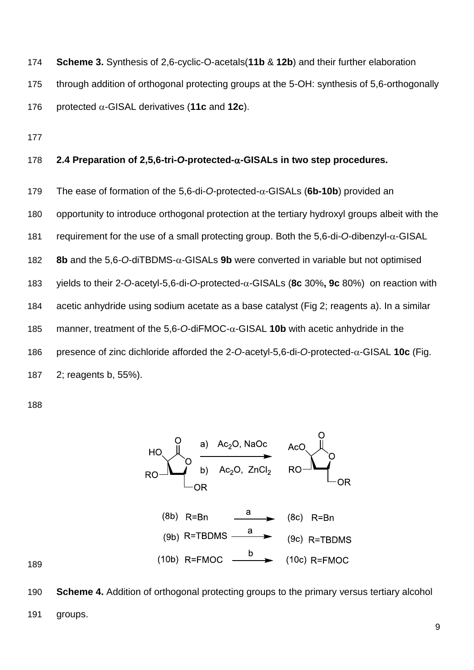- **Scheme 3.** Synthesis of 2,6-cyclic-O-acetals(**11b** & **12b**) and their further elaboration through addition of orthogonal protecting groups at the 5-OH: synthesis of 5,6-orthogonally 176 protected  $\alpha$ -GISAL derivatives (11c and 12c).
- 

#### **2.4 Preparation of 2,5,6-tri-***O***-protected--GISALs in two step procedures.**

- 179 The ease of formation of the 5,6-di-*O*-protected- $\alpha$ -GISALs (6b-10b) provided an
- opportunity to introduce orthogonal protection at the tertiary hydroxyl groups albeit with the
- 181 requirement for the use of a small protecting group. Both the  $5.6$ -di-*O*-dibenzyl- $\alpha$ -GISAL
- 182 **8b** and the 5,6-O-diTBDMS- $\alpha$ -GISALs **9b** were converted in variable but not optimised
- yields to their 2-*O*-acetyl-5,6-di-*O*-protected--GISALs (**8c** 30%**, 9c** 80%) on reaction with
- acetic anhydride using sodium acetate as a base catalyst (Fig 2; reagents a). In a similar
- 185 manner, treatment of the 5,6-O-diFMOC- $\alpha$ -GISAL **10b** with acetic anhydride in the
- 186 presence of zinc dichloride afforded the -O-acetyl-5,6-di-O-protected- $\alpha$ -GISAL **10c** (Fig.
- 2; reagents b, 55%).



 **Scheme 4.** Addition of orthogonal protecting groups to the primary versus tertiary alcohol groups.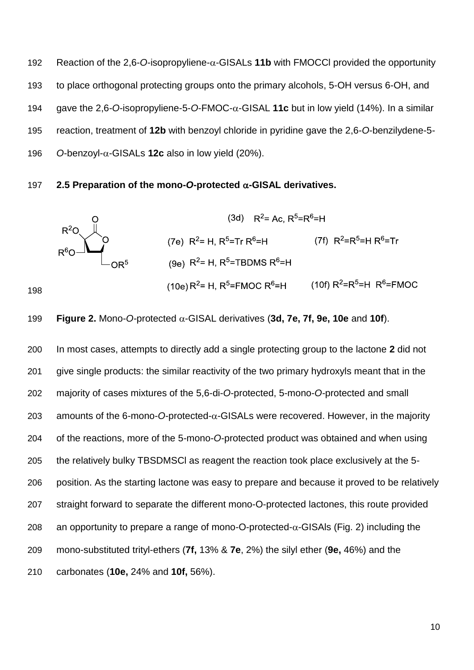192 Reaction of the 2,6-O-isopropyliene- $\alpha$ -GISALs **11b** with FMOCCI provided the opportunity to place orthogonal protecting groups onto the primary alcohols, 5-OH versus 6-OH, and 194 gave the 2,6-O-isopropyliene-5-O-FMOC- $\alpha$ -GISAL 11c but in low yield (14%). In a similar reaction, treatment of **12b** with benzoyl chloride in pyridine gave the 2,6-*O*-benzilydene-5- 196  $O-benzoyl-\alpha-GISALS$  **12c** also in low yield (20%).

#### 197 **2.5 Preparation of the mono-O-protected**  $\alpha$ -GISAL derivatives.



199 Figure 2. Mono-O-protected 
$$
\alpha
$$
-GISAL derivatives (3d, 7e, 7f, 9e, 10e and 10f).

 In most cases, attempts to directly add a single protecting group to the lactone **2** did not give single products: the similar reactivity of the two primary hydroxyls meant that in the majority of cases mixtures of the 5,6-di-*O*-protected, 5-mono-*O-*protected and small 203 amounts of the 6-mono-*O-protected-* $\alpha$ *-GISALs were recovered.* However, in the majority of the reactions, more of the 5-mono-*O*-protected product was obtained and when using the relatively bulky TBSDMSCl as reagent the reaction took place exclusively at the 5- position. As the starting lactone was easy to prepare and because it proved to be relatively straight forward to separate the different mono-O-protected lactones, this route provided 208 an opportunity to prepare a range of mono-O-protected- $\alpha$ -GISAIs (Fig. 2) including the mono-substituted trityl-ethers (**7f,** 13% & **7e**, 2%) the silyl ether (**9e,** 46%) and the carbonates (**10e,** 24% and **10f,** 56%).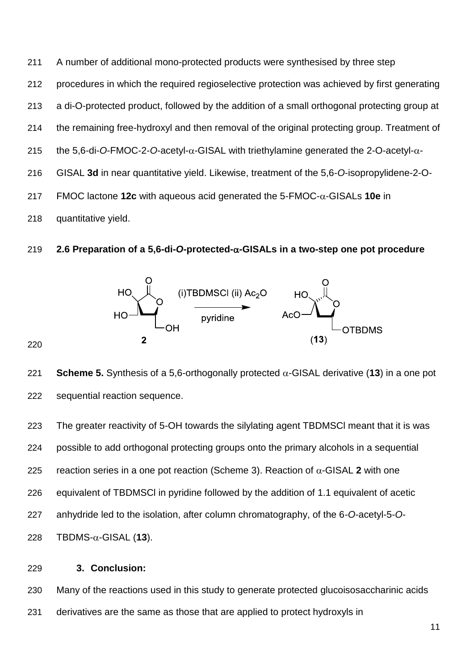A number of additional mono-protected products were synthesised by three step procedures in which the required regioselective protection was achieved by first generating a di-O-protected product, followed by the addition of a small orthogonal protecting group at the remaining free-hydroxyl and then removal of the original protecting group. Treatment of the 5,6-di-O-FMOC-2-O-acetyl- $\alpha$ -GISAL with triethylamine generated the 2-O-acetyl- $\alpha$ - GISAL **3d** in near quantitative yield. Likewise, treatment of the 5,6-*O*-isopropylidene-2-O- FMOC lactone **12c** with aqueous acid generated the 5-FMOC- $\alpha$ -GISALs **10e** in quantitative yield.

#### **2.6 Preparation of a 5,6-di-***O***-protected--GISALs in a two-step one pot procedure**



221 **Scheme 5.** Synthesis of a 5,6-orthogonally protected  $\alpha$ -GISAL derivative (13) in a one pot sequential reaction sequence.

 The greater reactivity of 5-OH towards the silylating agent TBDMSCl meant that it is was possible to add orthogonal protecting groups onto the primary alcohols in a sequential 225 reaction series in a one pot reaction (Scheme 3). Reaction of  $\alpha$ -GISAL 2 with one equivalent of TBDMSCl in pyridine followed by the addition of 1.1 equivalent of acetic anhydride led to the isolation, after column chromatography, of the 6-*O*-acetyl-5-*O*-TBDMS- $\alpha$ -GISAL (13).

#### **3. Conclusion:**

 Many of the reactions used in this study to generate protected glucoisosaccharinic acids derivatives are the same as those that are applied to protect hydroxyls in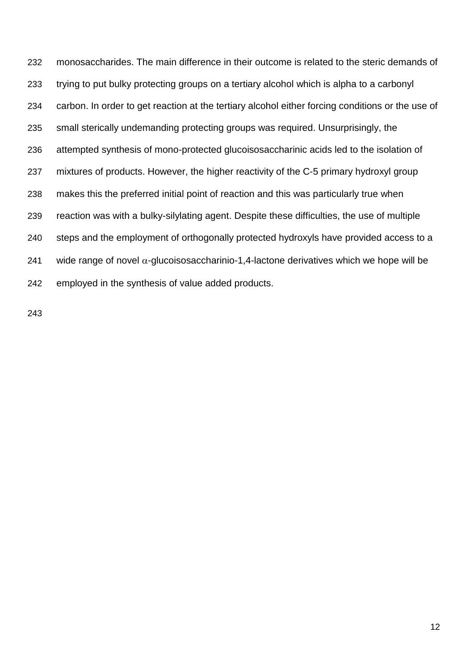monosaccharides. The main difference in their outcome is related to the steric demands of trying to put bulky protecting groups on a tertiary alcohol which is alpha to a carbonyl carbon. In order to get reaction at the tertiary alcohol either forcing conditions or the use of small sterically undemanding protecting groups was required. Unsurprisingly, the attempted synthesis of mono-protected glucoisosaccharinic acids led to the isolation of mixtures of products. However, the higher reactivity of the C-5 primary hydroxyl group makes this the preferred initial point of reaction and this was particularly true when reaction was with a bulky-silylating agent. Despite these difficulties, the use of multiple steps and the employment of orthogonally protected hydroxyls have provided access to a 241 wide range of novel  $\alpha$ -glucoisosaccharinio-1,4-lactone derivatives which we hope will be employed in the synthesis of value added products.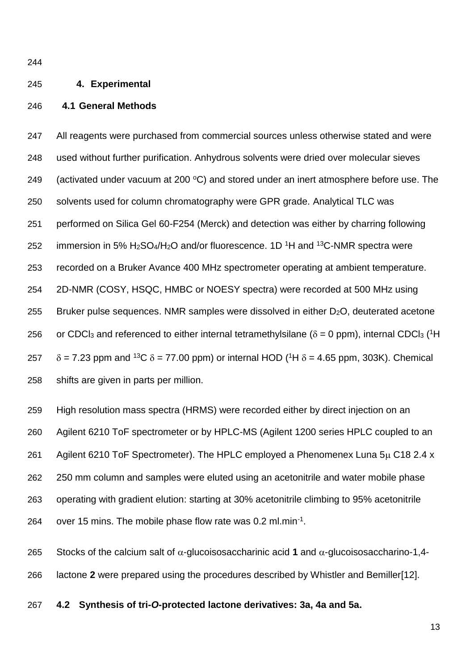#### **4. Experimental**

#### **4.1 General Methods**

 All reagents were purchased from commercial sources unless otherwise stated and were used without further purification. Anhydrous solvents were dried over molecular sieves 249 (activated under vacuum at 200  $\textdegree C$ ) and stored under an inert atmosphere before use. The solvents used for column chromatography were GPR grade. Analytical TLC was performed on Silica Gel 60-F254 (Merck) and detection was either by charring following 252 immersion in 5%  $H_2SO_4/H_2O$  and/or fluorescence. 1D <sup>1</sup>H and <sup>13</sup>C-NMR spectra were recorded on a Bruker Avance 400 MHz spectrometer operating at ambient temperature. 2D-NMR (COSY, HSQC, HMBC or NOESY spectra) were recorded at 500 MHz using 255 Bruker pulse sequences. NMR samples were dissolved in either  $D_2O$ , deuterated acetone 256 or CDCl<sub>3</sub> and referenced to either internal tetramethylsilane ( $\delta$  = 0 ppm), internal CDCl<sub>3</sub> (<sup>1</sup>H  $257 \delta = 7.23$  ppm and <sup>13</sup>C  $\delta = 77.00$  ppm) or internal HOD (<sup>1</sup>H  $\delta = 4.65$  ppm, 303K). Chemical shifts are given in parts per million.

 High resolution mass spectra (HRMS) were recorded either by direct injection on an Agilent 6210 ToF spectrometer or by HPLC-MS (Agilent 1200 series HPLC coupled to an 261 Agilent 6210 ToF Spectrometer). The HPLC employed a Phenomenex Luna  $5\mu$  C18 2.4 x 250 mm column and samples were eluted using an acetonitrile and water mobile phase operating with gradient elution: starting at 30% acetonitrile climbing to 95% acetonitrile 264 over 15 mins. The mobile phase flow rate was  $0.2$  ml.min<sup>-1</sup>.

265 Stocks of the calcium salt of  $\alpha$ -glucoisosaccharinic acid 1 and  $\alpha$ -glucoisosaccharino-1,4-lactone **2** were prepared using the procedures described by Whistler and Bemiller[\[12\]](#page-31-7).

**4.2 Synthesis of tri-***O***-protected lactone derivatives: 3a, 4a and 5a.**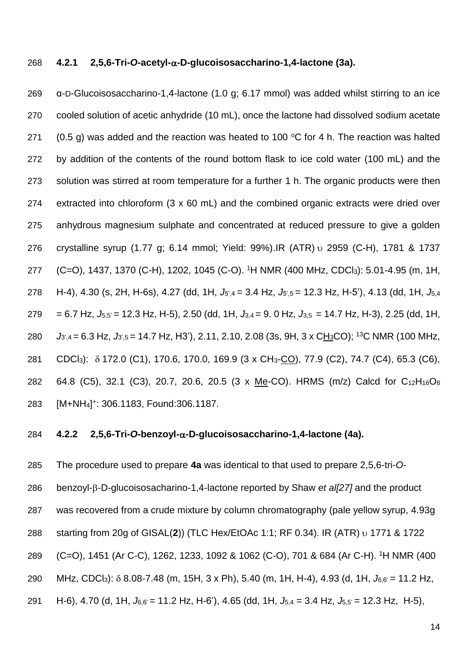#### **4.2.1 2,5,6-Tri-***O***-acetyl--D-glucoisosaccharino-1,4-lactone (3a).**

 α-D-Glucoisosaccharino-1,4-lactone (1.0 g; 6.17 mmol) was added whilst stirring to an ice cooled solution of acetic anhydride (10 mL), once the lactone had dissolved sodium acetate 271 (0.5 g) was added and the reaction was heated to 100  $\degree$ C for 4 h. The reaction was halted by addition of the contents of the round bottom flask to ice cold water (100 mL) and the solution was stirred at room temperature for a further 1 h. The organic products were then extracted into chloroform (3 x 60 mL) and the combined organic extracts were dried over anhydrous magnesium sulphate and concentrated at reduced pressure to give a golden 276 crystalline syrup (1.77 g; 6.14 mmol; Yield: 99%). IR (ATR) v 2959 (C-H), 1781 & 1737 277 (C=O), 1437, 1370 (C-H), 1202, 1045 (C-O). <sup>1</sup>H NMR (400 MHz, CDCl<sub>3</sub>): 5.01-4.95 (m, 1H, H-4), 4.30 (s, 2H, H-6s), 4.27 (dd, 1H, *J*5',4 = 3.4 Hz, *J*5',5 = 12.3 Hz, H-5'), 4.13 (dd, 1H, *J*5,4 = 6.7 Hz, *J*5,5' = 12.3 Hz, H-5), 2.50 (dd, 1H, *J*3,4 = 9. 0 Hz, *J*3,5 = 14.7 Hz, H-3), 2.25 (dd, 1H, *J*<sub>3',4</sub> = 6.3 Hz, *J*<sub>3',5</sub> = 14.7 Hz, H<sub>3</sub>'), 2.11, 2.10, 2.08 (3s, 9H, 3 x CH<sub>3</sub>CO); <sup>13</sup>C NMR (100 MHz, 281 CDCl<sub>3</sub>): δ 172.0 (C1), 170.6, 170.0, 169.9 (3 x CH<sub>3</sub>-CO), 77.9 (C2), 74.7 (C4), 65.3 (C6), 64.8 (C5), 32.1 (C3), 20.7, 20.6, 20.5 (3 x Me-CO). HRMS (m/z) Calcd for C12H16O<sup>8</sup> 283 [M+NH<sub>4</sub>]<sup>+</sup>: 306.1183, Found:306.1187.

#### **4.2.2 2,5,6-Tri-***O***-benzoyl--D-glucoisosaccharino-1,4-lactone (4a).**

 The procedure used to prepare **4a** was identical to that used to prepare 2,5,6-tri-*O*-286 benzoyl-β-D-glucoisosacharino-1,4-lactone reported by Shaw *et al*<sup>[\[27\]](#page-32-1)</sup> and the product was recovered from a crude mixture by column chromatography (pale yellow syrup, 4.93g 288 starting from 20g of GISAL(2)) (TLC Hex/EtOAc 1:1; RF 0.34). IR (ATR) v 1771 & 1722 289 (C=O), 1451 (Ar C-C), 1262, 1233, 1092 & 1062 (C-O), 701 & 684 (Ar C-H), <sup>1</sup>H NMR (400 MHz, CDCl3): 8.08-7.48 (m, 15H, 3 x Ph), 5.40 (m, 1H, H-4), 4.93 (d, 1H, *J*6,6' = 11.2 Hz, H-6), 4.70 (d, 1H, *J*6,6' = 11.2 Hz, H-6'), 4.65 (dd, 1H, *J*5,4 = 3.4 Hz, *J*5,5' = 12.3 Hz, H-5),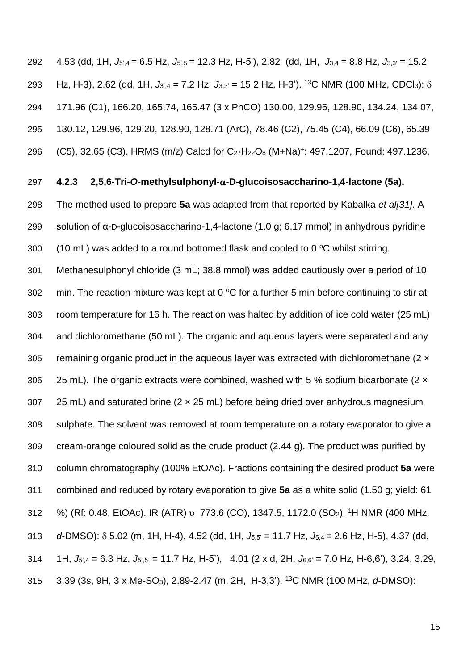4.53 (dd, 1H, *J*5',4 = 6.5 Hz, *J*5',5 = 12.3 Hz, H-5'), 2.82 (dd, 1H, *J*3,4 = 8.8 Hz, *J*3,3' = 15.2 293 Hz, H-3), 2.62 (dd, 1H,  $J_{3',4} = 7.2$  Hz,  $J_{3,3'} = 15.2$  Hz, H-3'). <sup>13</sup>C NMR (100 MHz, CDCl<sub>3</sub>):  $\delta$  171.96 (C1), 166.20, 165.74, 165.47 (3 x PhCO) 130.00, 129.96, 128.90, 134.24, 134.07, 130.12, 129.96, 129.20, 128.90, 128.71 (ArC), 78.46 (C2), 75.45 (C4), 66.09 (C6), 65.39 296 (C5), 32.65 (C3). HRMS (m/z) Calcd for C<sub>27</sub>H<sub>22</sub>O<sub>8</sub> (M+Na)<sup>+</sup>: 497.1207, Found: 497.1236.

#### **4.2.3 2,5,6-Tri-***O***-methylsulphonyl--D-glucoisosaccharino-1,4-lactone (5a).**

 The method used to prepare **5a** was adapted from that reported by Kabalka *et al[\[31\]](#page-32-5)*. A solution of α-D-glucoisosaccharino-1,4-lactone (1.0 g; 6.17 mmol) in anhydrous pyridine 300 (10 mL) was added to a round bottomed flask and cooled to 0  $\degree$ C whilst stirring.

 Methanesulphonyl chloride (3 mL; 38.8 mmol) was added cautiously over a period of 10 302 min. The reaction mixture was kept at 0  $\mathrm{^{\circ}C}$  for a further 5 min before continuing to stir at room temperature for 16 h. The reaction was halted by addition of ice cold water (25 mL) and dichloromethane (50 mL). The organic and aqueous layers were separated and any 305 remaining organic product in the aqueous layer was extracted with dichloromethane ( $2 \times$ 306 25 mL). The organic extracts were combined, washed with 5 % sodium bicarbonate  $(2 \times$ 307 25 mL) and saturated brine  $(2 \times 25$  mL) before being dried over anhydrous magnesium sulphate. The solvent was removed at room temperature on a rotary evaporator to give a cream-orange coloured solid as the crude product (2.44 g). The product was purified by column chromatography (100% EtOAc). Fractions containing the desired product **5a** were combined and reduced by rotary evaporation to give **5a** as a white solid (1.50 g; yield: 61 312 %) (Rf: 0.48, EtOAc). IR (ATR) v 773.6 (CO), 1347.5, 1172.0 (SO<sub>2</sub>). <sup>1</sup>H NMR (400 MHz, *d*-DMSO): 5.02 (m, 1H, H-4), 4.52 (dd, 1H, *J*5,5' = 11.7 Hz, *J*5,4 = 2.6 Hz, H-5), 4.37 (dd, 1H, *J*5',4 = 6.3 Hz, *J*5',5 = 11.7 Hz, H-5'), 4.01 (2 x d, 2H, *J*6,6' = 7.0 Hz, H-6,6'), 3.24, 3.29, 315 3.39 (3s, 9H, 3 x Me-SO<sub>3</sub>), 2.89-2.47 (m, 2H, H-3,3'). <sup>13</sup>C NMR (100 MHz, *d*-DMSO):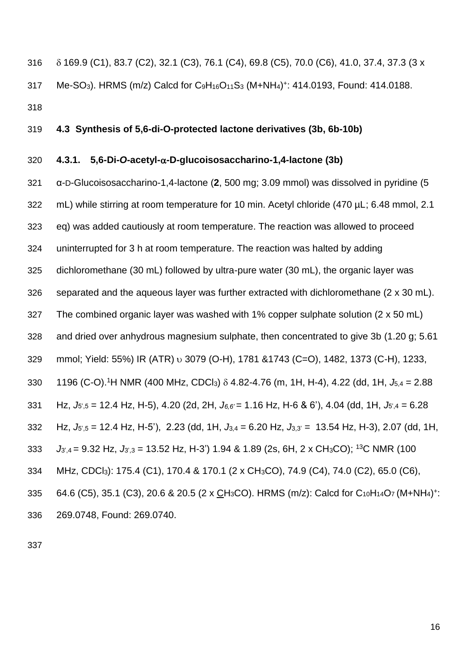169.9 (C1), 83.7 (C2), 32.1 (C3), 76.1 (C4), 69.8 (C5), 70.0 (C6), 41.0, 37.4, 37.3 (3 x 317 Me-SO<sub>3</sub>). HRMS (m/z) Calcd for C<sub>9</sub>H<sub>16</sub>O<sub>11</sub>S<sub>3</sub> (M+NH<sub>4</sub>)<sup>+</sup>: 414.0193, Found: 414.0188. 

#### **4.3 Synthesis of 5,6-di-O-protected lactone derivatives (3b, 6b-10b)**

#### **4.3.1. 5,6-Di-***O***-acetyl--D-glucoisosaccharino-1,4-lactone (3b)**

 α-D-Glucoisosaccharino-1,4-lactone (**2**, 500 mg; 3.09 mmol) was dissolved in pyridine (5 322 mL) while stirring at room temperature for 10 min. Acetyl chloride (470 µL; 6.48 mmol, 2.1 eq) was added cautiously at room temperature. The reaction was allowed to proceed uninterrupted for 3 h at room temperature. The reaction was halted by adding dichloromethane (30 mL) followed by ultra-pure water (30 mL), the organic layer was separated and the aqueous layer was further extracted with dichloromethane (2 x 30 mL). The combined organic layer was washed with 1% copper sulphate solution (2 x 50 mL) and dried over anhydrous magnesium sulphate, then concentrated to give 3b (1.20 g; 5.61 329 mmol; Yield: 55%) IR (ATR) v 3079 (O-H), 1781 &1743 (C=O), 1482, 1373 (C-H), 1233, 330 1196 (C-O). <sup>1</sup>H NMR (400 MHz, CDCl<sub>3</sub>)  $\delta$  4.82-4.76 (m, 1H, H-4), 4.22 (dd, 1H,  $J_{5.4} = 2.88$  Hz, *J*5',5 = 12.4 Hz, H-5), 4.20 (2d, 2H, *J6,6'* = 1.16 Hz, H-6 & 6'), 4.04 (dd, 1H, *J*5',4 = 6.28 Hz, *J*5',5 = 12.4 Hz, H-5'), 2.23 (dd, 1H, *J*3,4 = 6.20 Hz, *J*3,3' = 13.54 Hz, H-3), 2.07 (dd, 1H,  $J_{3'4}$  = 9.32 Hz,  $J_{3'3}$  = 13.52 Hz, H-3') 1.94 & 1.89 (2s, 6H, 2 x CH<sub>3</sub>CO); <sup>13</sup>C NMR (100 MHz, CDCl3): 175.4 (C1), 170.4 & 170.1 (2 x CH3CO), 74.9 (C4), 74.0 (C2), 65.0 (C6), 335 64.6 (C5), 35.1 (C3), 20.6 & 20.5 (2 x CH<sub>3</sub>CO). HRMS (m/z): Calcd for C<sub>10</sub>H<sub>14</sub>O<sub>7</sub> (M+NH<sub>4</sub>)<sup>+</sup>: 269.0748, Found: 269.0740.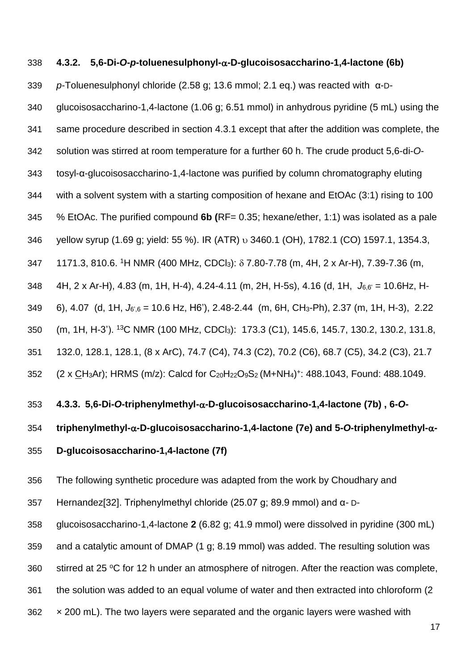#### **4.3.2. 5,6-Di-***O***-***p***-toluenesulphonyl--D-glucoisosaccharino-1,4-lactone (6b)**

*p*-Toluenesulphonyl chloride (2.58 g; 13.6 mmol; 2.1 eq.) was reacted with α-D-

glucoisosaccharino-1,4-lactone (1.06 g; 6.51 mmol) in anhydrous pyridine (5 mL) using the

same procedure described in section 4.3.1 except that after the addition was complete, the

solution was stirred at room temperature for a further 60 h. The crude product 5,6-di-*O*-

tosyl-α-glucoisosaccharino-1,4-lactone was purified by column chromatography eluting

with a solvent system with a starting composition of hexane and EtOAc (3:1) rising to 100

% EtOAc. The purified compound **6b (**RF= 0.35; hexane/ether, 1:1) was isolated as a pale

346 yellow syrup (1.69 g; yield: 55 %). IR (ATR) v 3460.1 (OH), 1782.1 (CO) 1597.1, 1354.3,

347 1171.3, 810.6. <sup>1</sup>H NMR (400 MHz, CDCl<sub>3</sub>):  $\delta$  7.80-7.78 (m, 4H, 2 x Ar-H), 7.39-7.36 (m,

4H, 2 x Ar-H), 4.83 (m, 1H, H-4), 4.24-4.11 (m, 2H, H-5s), 4.16 (d, 1H, *J*6,6' = 10.6Hz, H-

6), 4.07 (d, 1H, *J*6',6 = 10.6 Hz, H6'), 2.48-2.44 (m, 6H, CH3-Ph), 2.37 (m, 1H, H-3), 2.22

350 (m, 1H, H-3'). <sup>13</sup>C NMR (100 MHz, CDCl<sub>3</sub>): 173.3 (C1), 145.6, 145.7, 130.2, 130.2, 131.8,

132.0, 128.1, 128.1, (8 x ArC), 74.7 (C4), 74.3 (C2), 70.2 (C6), 68.7 (C5), 34.2 (C3), 21.7

352 (2 x CH3Ar); HRMS (m/z): Calcd for C<sub>20</sub>H<sub>22</sub>O<sub>9</sub>S<sub>2</sub> (M+NH<sub>4</sub>)+: 488.1043, Found: 488.1049.

#### **4.3.3. 5,6-Di-***O***-triphenylmethyl--D-glucoisosaccharino-1,4-lactone (7b) , 6-***O***-**

**triphenylmethyl--D-glucoisosaccharino-1,4-lactone (7e) and 5-***O***-triphenylmethyl--**

**D-glucoisosaccharino-1,4-lactone (7f)** 

The following synthetic procedure was adapted from the work by Choudhary and

Hernandez[\[32\]](#page-32-6). Triphenylmethyl chloride (25.07 g; 89.9 mmol) and α- D-

glucoisosaccharino-1,4-lactone **2** (6.82 g; 41.9 mmol) were dissolved in pyridine (300 mL)

and a catalytic amount of DMAP (1 g; 8.19 mmol) was added. The resulting solution was

360 stirred at 25  $\mathrm{°C}$  for 12 h under an atmosphere of nitrogen. After the reaction was complete,

the solution was added to an equal volume of water and then extracted into chloroform (2

 $362 \times 200$  mL). The two layers were separated and the organic layers were washed with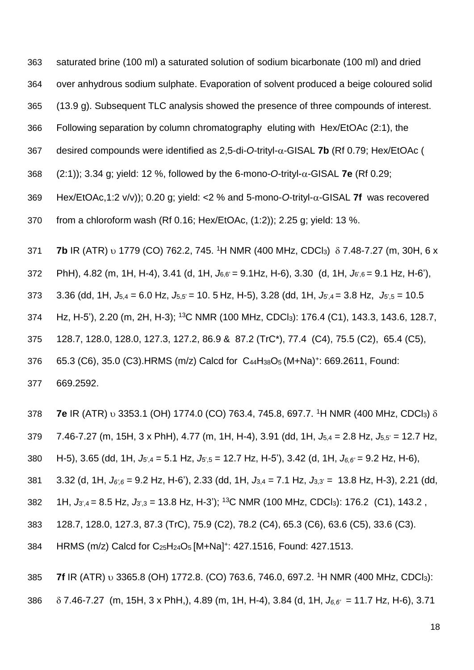363 saturated brine (100 ml) a saturated solution of sodium bicarbonate (100 ml) and dried

364 over anhydrous sodium sulphate. Evaporation of solvent produced a beige coloured solid

365 (13.9 g). Subsequent TLC analysis showed the presence of three compounds of interest.

366 Following separation by column chromatography eluting with Hex/EtOAc (2:1), the

367 desired compounds were identified as  $2,5$ -di-O-trityl- $\alpha$ -GISAL **7b** (Rf 0.79; Hex/EtOAc (

368  $(2:1)$ ; 3.34 g; yield: 12 %, followed by the 6-mono-*O*-trityl- $\alpha$ -GISAL **7e** (Rf 0.29;

369 Hex/EtOAc,1:2 v/v)); 0.20 g; yield: <2 % and 5-mono-O-trityl- $\alpha$ -GISAL **7f** was recovered

370 from a chloroform wash (Rf 0.16; Hex/EtOAc, (1:2)); 2.25 g; yield: 13 %.

**7b** IR (ATR) **b** 1779 (CO) 762.2, 745. <sup>1</sup>H NMR (400 MHz, CDCl<sub>3</sub>) δ 7.48-7.27 (m, 30H, 6 x

372 PhH), 4.82 (m, 1H, H-4), 3.41 (d, 1H, *J*6,6' = 9.1Hz, H-6), 3.30 (d, 1H, *J*6',6 = 9.1 Hz, H-6'),

373 3.36 (dd, 1H, *J*5,4 = 6.0 Hz, *J*5,5' = 10. 5 Hz, H-5), 3.28 (dd, 1H, *J*5',4 = 3.8 Hz, *J*5',5 = 10.5

374 Hz, H-5'), 2.20 (m, 2H, H-3); <sup>13</sup>C NMR (100 MHz, CDCl<sub>3</sub>): 176.4 (C1), 143.3, 143.6, 128.7,

375 128.7, 128.0, 128.0, 127.3, 127.2, 86.9 & 87.2 (TrC\*), 77.4 (C4), 75.5 (C2), 65.4 (C5),

376 65.3 (C6), 35.0 (C3).HRMS (m/z) Calcd for C<sub>44</sub>H<sub>38</sub>O<sub>5</sub> (M+Na)<sup>+</sup>: 669.2611, Found:

377 669.2592.

**7e** IR (ATR) v 3353.1 (OH) 1774.0 (CO) 763.4, 745.8, 697.7. <sup>1</sup>H NMR (400 MHz, CDCl<sub>3</sub>)  $\delta$ 

379 7.46-7.27 (m, 15H, 3 x PhH), 4.77 (m, 1H, H-4), 3.91 (dd, 1H, *J*5,4 = 2.8 Hz, *J*5,5' = 12.7 Hz,

380 H-5), 3.65 (dd, 1H, *J*5',4 = 5.1 Hz, *J*5',5 = 12.7 Hz, H-5'), 3.42 (d, 1H, *J6,6'* = 9.2 Hz, H-6),

381 3.32 (d, 1H, *J6',6* = 9.2 Hz, H-6'), 2.33 (dd, 1H, *J*3,4 = 7.1 Hz, *J*3,3' = 13.8 Hz, H-3), 2.21 (dd,

382 1H, *J*<sub>3',4</sub> = 8.5 Hz, *J*<sub>3',3</sub> = 13.8 Hz, H-3'); <sup>13</sup>C NMR (100 MHz, CDCl<sub>3</sub>): 176.2 (C1), 143.2,

383 128.7, 128.0, 127.3, 87.3 (TrC), 75.9 (C2), 78.2 (C4), 65.3 (C6), 63.6 (C5), 33.6 (C3).

384 HRMS (m/z) Calcd for C<sub>25</sub>H<sub>24</sub>O<sub>5</sub> [M+Na]<sup>+</sup>: 427.1516, Found: 427.1513.

385 7f IR (ATR) v 3365.8 (OH) 1772.8. (CO) 763.6, 746.0, 697.2. <sup>1</sup>H NMR (400 MHz, CDCl<sub>3</sub>):

386 7.46-7.27 (m, 15H, 3 x PhH,), 4.89 (m, 1H, H-4), 3.84 (d, 1H, *J6,6'* = 11.7 Hz, H-6), 3.71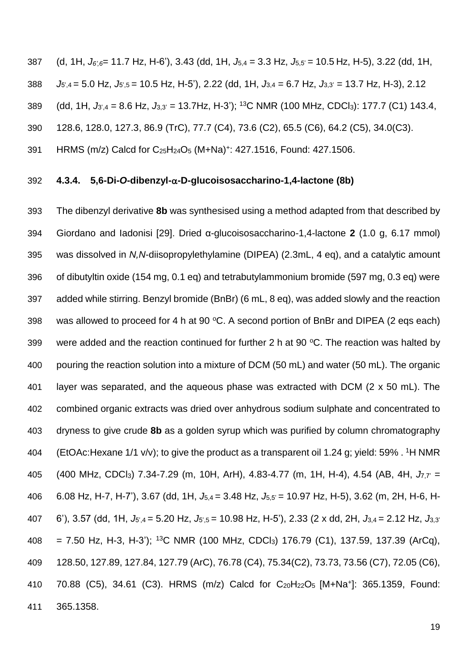(d, 1H, *J6',6*= 11.7 Hz, H-6'), 3.43 (dd, 1H, *J*5,4 = 3.3 Hz, *J*5,5' = 10.5 Hz, H-5), 3.22 (dd, 1H, *J*5',4 = 5.0 Hz, *J*5',5 = 10.5 Hz, H-5'), 2.22 (dd, 1H, *J*3,4 = 6.7 Hz, *J*3,3' = 13.7 Hz, H-3), 2.12 389 (dd, 1H, *J*<sub>3',4</sub> = 8.6 Hz, *J*<sub>3,3'</sub> = 13.7Hz, H-3'); <sup>13</sup>C NMR (100 MHz, CDCl<sub>3</sub>): 177.7 (C1) 143.4, 128.6, 128.0, 127.3, 86.9 (TrC), 77.7 (C4), 73.6 (C2), 65.5 (C6), 64.2 (C5), 34.0(C3).

391 HRMS (m/z) Calcd for C<sub>25</sub>H<sub>24</sub>O<sub>5</sub> (M+Na)<sup>+</sup>: 427.1516, Found: 427.1506.

#### **4.3.4. 5,6-Di-***O***-dibenzyl--D-glucoisosaccharino-1,4-lactone (8b)**

 The dibenzyl derivative **8b** was synthesised using a method adapted from that described by Giordano and Iadonisi [\[29\]](#page-32-3). Dried α-glucoisosaccharino-1,4-lactone **2** (1.0 g, 6.17 mmol) was dissolved in *N,N*-diisopropylethylamine (DIPEA) (2.3mL, 4 eq), and a catalytic amount of dibutyltin oxide (154 mg, 0.1 eq) and tetrabutylammonium bromide (597 mg, 0.3 eq) were added while stirring. Benzyl bromide (BnBr) (6 mL, 8 eq), was added slowly and the reaction 398 was allowed to proceed for 4 h at 90  $^{\circ}$ C. A second portion of BnBr and DIPEA (2 eqs each) 399 were added and the reaction continued for further 2 h at 90  $\degree$ C. The reaction was halted by pouring the reaction solution into a mixture of DCM (50 mL) and water (50 mL). The organic layer was separated, and the aqueous phase was extracted with DCM (2 x 50 mL). The combined organic extracts was dried over anhydrous sodium sulphate and concentrated to dryness to give crude **8b** as a golden syrup which was purified by column chromatography 404 (EtOAc: Hexane 1/1 v/v); to give the product as a transparent oil 1.24 g; yield: 59% . <sup>1</sup>H NMR 405 (400 MHz, CDCl<sub>3</sub>) 7.34-7.29 (m, 10H, ArH), 4.83-4.77 (m, 1H, H-4), 4.54 (AB, 4H, *J*<sub>7</sub><sup> $7$ </sup> = 6.08 Hz, H-7, H-7'), 3.67 (dd, 1H, *J*5,4 = 3.48 Hz, *J*5,5' = 10.97 Hz, H-5), 3.62 (m, 2H, H-6, H- 6'), 3.57 (dd, 1H, *J*5',4 = 5.20 Hz, *J*5',5 = 10.98 Hz, H-5'), 2.33 (2 x dd, 2H, *J*3,4 = 2.12 Hz, *J*3,3'  $408 = 7.50$  Hz, H-3, H-3'); <sup>13</sup>C NMR (100 MHz, CDCl<sub>3</sub>) 176.79 (C1), 137.59, 137.39 (ArCq), 128.50, 127.89, 127.84, 127.79 (ArC), 76.78 (C4), 75.34(C2), 73.73, 73.56 (C7), 72.05 (C6), 410 70.88 (C5), 34.61 (C3). HRMS (m/z) Calcd for  $C_{20}H_{22}O_5$  [M+Na<sup>+</sup>]: 365.1359, Found: 365.1358.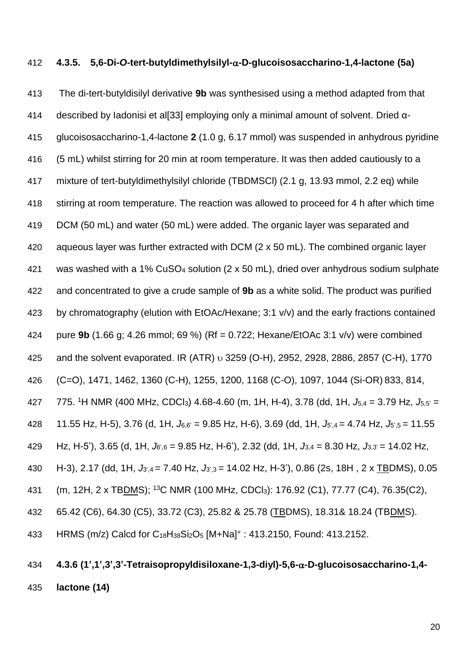#### **4.3.5. 5,6-Di-***O***-tert-butyldimethylsilyl--D-glucoisosaccharino-1,4-lactone (5a)**

 The di-tert-butyldisilyl derivative **9b** was synthesised using a method adapted from that described by Iadonisi et al[\[33\]](#page-32-7) employing only a minimal amount of solvent. Dried α- glucoisosaccharino-1,4-lactone **2** (1.0 g, 6.17 mmol) was suspended in anhydrous pyridine (5 mL) whilst stirring for 20 min at room temperature. It was then added cautiously to a mixture of tert-butyldimethylsilyl chloride (TBDMSCl) (2.1 g, 13.93 mmol, 2.2 eq) while stirring at room temperature. The reaction was allowed to proceed for 4 h after which time DCM (50 mL) and water (50 mL) were added. The organic layer was separated and aqueous layer was further extracted with DCM (2 x 50 mL). The combined organic layer was washed with a 1% CuSO<sup>4</sup> solution (2 x 50 mL), dried over anhydrous sodium sulphate and concentrated to give a crude sample of **9b** as a white solid. The product was purified by chromatography (elution with EtOAc/Hexane; 3:1 v/v) and the early fractions contained pure **9b** (1.66 g; 4.26 mmol; 69 %) (Rf = 0.722; Hexane/EtOAc 3:1 v/v) were combined 425 and the solvent evaporated. IR (ATR) v 3259 (O-H), 2952, 2928, 2886, 2857 (C-H), 1770 (C=O), 1471, 1462, 1360 (C-H), 1255, 1200, 1168 (C-O), 1097, 1044 (Si-OR) 833, 814, 775. <sup>1</sup>H NMR (400 MHz, CDCl3) 4.68-4.60 (m, 1H, H-4), 3.78 (dd, 1H, *J*5,4 = 3.79 Hz, *J*5,5' = 11.55 Hz, H-5), 3.76 (d, 1H, *J*6,6' = 9.85 Hz, H-6), 3.69 (dd, 1H, *J*5',4 = 4.74 Hz, *J*5',5 = 11.55 Hz, H-5'), 3.65 (d, 1H, *J*6',6 = 9.85 Hz, H-6'), 2.32 (dd, 1H, *J*3,4 = 8.30 Hz, *J*3,3' = 14.02 Hz, H-3), 2.17 (dd, 1H, *J*3',4 = 7.40 Hz, *J*3',3 = 14.02 Hz, H-3'), 0.86 (2s, 18H , 2 x TBDMS), 0.05 431 (m, 12H, 2 x TBDMS); <sup>13</sup>C NMR (100 MHz, CDCl<sub>3</sub>): 176.92 (C1), 77.77 (C4), 76.35(C2), 65.42 (C6), 64.30 (C5), 33.72 (C3), 25.82 & 25.78 (TBDMS), 18.31& 18.24 (TBDMS). 433 HRMS (m/z) Calcd for C<sub>18</sub>H<sub>38</sub>Si<sub>2</sub>O<sub>5</sub> [M+Na]<sup>+</sup> : 413.2150, Found: 413.2152.

### **4.3.6 (1',1',3',3'-Tetraisopropyldisiloxane-1,3-diyl)-5,6--D-glucoisosaccharino-1,4- lactone (14)**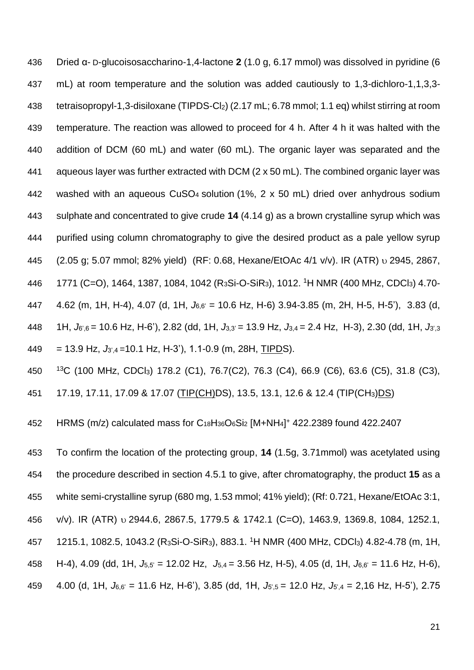Dried α- D-glucoisosaccharino-1,4-lactone **2** (1.0 g, 6.17 mmol) was dissolved in pyridine (6 mL) at room temperature and the solution was added cautiously to 1,3-dichloro-1,1,3,3- tetraisopropyl-1,3-disiloxane (TIPDS-Cl2) (2.17 mL; 6.78 mmol; 1.1 eq) whilst stirring at room temperature. The reaction was allowed to proceed for 4 h. After 4 h it was halted with the addition of DCM (60 mL) and water (60 mL). The organic layer was separated and the aqueous layer was further extracted with DCM (2 x 50 mL). The combined organic layer was washed with an aqueous CuSO4 solution (1%, 2 x 50 mL) dried over anhydrous sodium sulphate and concentrated to give crude **14** (4.14 g) as a brown crystalline syrup which was purified using column chromatography to give the desired product as a pale yellow syrup 445 (2.05 g; 5.07 mmol; 82% yield) (RF: 0.68, Hexane/EtOAc 4/1 v/v). IR (ATR) v 2945, 2867, 446 1771 (C=O), 1464, 1387, 1084, 1042 (R<sub>3</sub>Si-O-SiR<sub>3</sub>), 1012. <sup>1</sup>H NMR (400 MHz, CDCl<sub>3</sub>) 4.70- 4.62 (m, 1H, H-4), 4.07 (d, 1H, *J*6,6' = 10.6 Hz, H-6) 3.94-3.85 (m, 2H, H-5, H-5'), 3.83 (d, 1H, *J*6',6 = 10.6 Hz, H-6'), 2.82 (dd, 1H, *J*3,3' = 13.9 Hz, *J*3,4 = 2.4 Hz, H-3), 2.30 (dd, 1H, *J*3',3  $449 = 13.9$  Hz,  $J_{3,4} = 10.1$  Hz, H-3'), 1.1-0.9 (m, 28H, TIPDS).

<sup>13</sup>C (100 MHz, CDCl3) 178.2 (C1), 76.7(C2), 76.3 (C4), 66.9 (C6), 63.6 (C5), 31.8 (C3),

17.19, 17.11, 17.09 & 17.07 (TIP(CH)DS), 13.5, 13.1, 12.6 & 12.4 (TIP(CH3)DS)

452 HRMS (m/z) calculated mass for  $C_{18}H_{36}O_6Si_2$  [M+NH<sub>4</sub>]<sup>+</sup> 422.2389 found 422.2407

 To confirm the location of the protecting group, **14** (1.5g, 3.71mmol) was acetylated using the procedure described in section 4.5.1 to give, after chromatography, the product **15** as a white semi-crystalline syrup (680 mg, 1.53 mmol; 41% yield); (Rf: 0.721, Hexane/EtOAc 3:1, v/v). IR (ATR) 2944.6, 2867.5, 1779.5 & 1742.1 (C=O), 1463.9, 1369.8, 1084, 1252.1, 457 1215.1, 1082.5, 1043.2 (R<sub>3</sub>Si-O-SiR<sub>3</sub>), 883.1. <sup>1</sup>H NMR (400 MHz, CDCl<sub>3</sub>) 4.82-4.78 (m, 1H, H-4), 4.09 (dd, 1H, *J*5,5' = 12.02 Hz, *J*5,4 = 3.56 Hz, H-5), 4.05 (d, 1H, *J*6,6' = 11.6 Hz, H-6), 4.00 (d, 1H, *J*6,6' = 11.6 Hz, H-6'), 3.85 (dd, 1H, *J*5',5 = 12.0 Hz, *J*5',4 = 2,16 Hz, H-5'), 2.75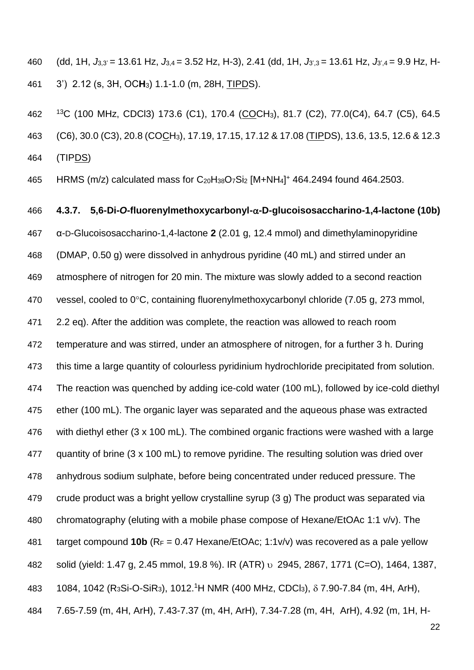(dd, 1H, *J*3,3' = 13.61 Hz, *J*3,4 = 3.52 Hz, H-3), 2.41 (dd, 1H, *J*3',3 = 13.61 Hz, *J*3',4 = 9.9 Hz, H-3') 2.12 (s, 3H, OC**H**3) 1.1-1.0 (m, 28H, TIPDS).

 <sup>13</sup>C (100 MHz, CDCl3) 173.6 (C1), 170.4 (COCH3), 81.7 (C2), 77.0(C4), 64.7 (C5), 64.5 (C6), 30.0 (C3), 20.8 (COCH3), 17.19, 17.15, 17.12 & 17.08 (TIPDS), 13.6, 13.5, 12.6 & 12.3 (TIPDS)

465 HRMS (m/z) calculated mass for C<sub>20</sub>H<sub>38</sub>O<sub>7</sub>Si<sub>2</sub> [M+NH<sub>4</sub>]<sup>+</sup> 464.2494 found 464.2503.

# **4.3.7. 5,6-Di-***O***-fluorenylmethoxycarbonyl--D-glucoisosaccharino-1,4-lactone (10b)** α-D-Glucoisosaccharino-1,4-lactone **2** (2.01 g, 12.4 mmol) and dimethylaminopyridine (DMAP, 0.50 g) were dissolved in anhydrous pyridine (40 mL) and stirred under an atmosphere of nitrogen for 20 min. The mixture was slowly added to a second reaction 470 vessel, cooled to  $0^{\circ}$ C, containing fluorenylmethoxycarbonyl chloride (7.05 g, 273 mmol, 2.2 eq). After the addition was complete, the reaction was allowed to reach room temperature and was stirred, under an atmosphere of nitrogen, for a further 3 h. During this time a large quantity of colourless pyridinium hydrochloride precipitated from solution. The reaction was quenched by adding ice-cold water (100 mL), followed by ice-cold diethyl ether (100 mL). The organic layer was separated and the aqueous phase was extracted with diethyl ether (3 x 100 mL). The combined organic fractions were washed with a large quantity of brine (3 x 100 mL) to remove pyridine. The resulting solution was dried over anhydrous sodium sulphate, before being concentrated under reduced pressure. The crude product was a bright yellow crystalline syrup (3 g) The product was separated via chromatography (eluting with a mobile phase compose of Hexane/EtOAc 1:1 v/v). The target compound **10b** (R<sup>F</sup> = 0.47 Hexane/EtOAc; 1:1v/v) was recovered as a pale yellow 482 solid (yield: 1.47 g, 2.45 mmol, 19.8 %). IR (ATR) v 2945, 2867, 1771 (C=O), 1464, 1387, 483 1084, 1042 (R<sub>3</sub>Si-O-SiR<sub>3</sub>), 1012.<sup>1</sup>H NMR (400 MHz, CDCl<sub>3</sub>),  $\delta$  7.90-7.84 (m, 4H, ArH), 7.65-7.59 (m, 4H, ArH), 7.43-7.37 (m, 4H, ArH), 7.34-7.28 (m, 4H, ArH), 4.92 (m, 1H, H-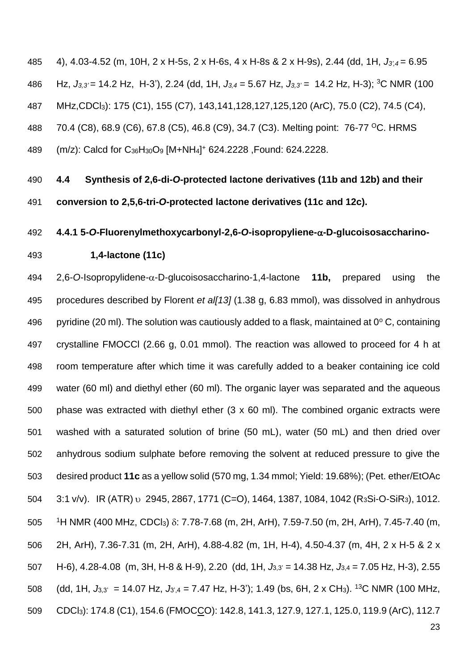4), 4.03-4.52 (m, 10H, 2 x H-5s, 2 x H-6s, 4 x H-8s & 2 x H-9s), 2.44 (dd, 1H, *J3',4* = 6.95 486 Hz,  $J_{3,3}$ ' = 14.2 Hz, H-3'), 2.24 (dd, 1H,  $J_{3,4}$  = 5.67 Hz,  $J_{3,3}$ ' = 14.2 Hz, H-3); <sup>3</sup>C NMR (100 MHz,CDCl3): 175 (C1), 155 (C7), 143,141,128,127,125,120 (ArC), 75.0 (C2), 74.5 (C4), 488 70.4 (C8), 68.9 (C6), 67.8 (C5), 46.8 (C9), 34.7 (C3). Melting point: 76-77 <sup>o</sup>C. HRMS 489 (m/z): Calcd for C<sub>36</sub>H<sub>30</sub>O<sub>9</sub> [M+NH<sub>4</sub>]<sup>+</sup> 624.2228 , Found: 624.2228.

 **4.4 Synthesis of 2,6-di-***O***-protected lactone derivatives (11b and 12b) and their conversion to 2,5,6-tri-***O***-protected lactone derivatives (11c and 12c).**

#### **4.4.1 5-***O***-Fluorenylmethoxycarbonyl-2,6-***O***-isopropyliene--D-glucoisosaccharino-**

**1,4-lactone (11c)**

494 2,6-O-Isopropylidene-α-D-glucoisosaccharino-1,4-lactone **11b**, prepared using the procedures described by Florent *et al[\[13\]](#page-31-8)* (1.38 g, 6.83 mmol), was dissolved in anhydrous 496 pyridine (20 ml). The solution was cautiously added to a flask, maintained at  $0^{\circ}$  C, containing crystalline FMOCCl (2.66 g, 0.01 mmol). The reaction was allowed to proceed for 4 h at room temperature after which time it was carefully added to a beaker containing ice cold water (60 ml) and diethyl ether (60 ml). The organic layer was separated and the aqueous phase was extracted with diethyl ether (3 x 60 ml). The combined organic extracts were washed with a saturated solution of brine (50 mL), water (50 mL) and then dried over anhydrous sodium sulphate before removing the solvent at reduced pressure to give the desired product **11c** as a yellow solid (570 mg, 1.34 mmol; Yield: 19.68%); (Pet. ether/EtOAc 504 3:1 v/v). IR (ATR) v 2945, 2867, 1771 (C=O), 1464, 1387, 1084, 1042 (R3Si-O-SiR3), 1012. 505 <sup>1</sup>H NMR (400 MHz, CDCl<sub>3</sub>) δ: 7.78-7.68 (m, 2H, ArH), 7.59-7.50 (m, 2H, ArH), 7.45-7.40 (m, 2H, ArH), 7.36-7.31 (m, 2H, ArH), 4.88-4.82 (m, 1H, H-4), 4.50-4.37 (m, 4H, 2 x H-5 & 2 x H-6), 4.28-4.08 (m, 3H, H-8 & H-9), 2.20 (dd, 1H, *J*3,3' = 14.38 Hz, *J*3,4 = 7.05 Hz, H-3), 2.55 508 (dd, 1H,  $J_{3,3'} = 14.07$  Hz,  $J_{3',4} = 7.47$  Hz, H-3'); 1.49 (bs, 6H, 2 x CH<sub>3</sub>). <sup>13</sup>C NMR (100 MHz, CDCl3): 174.8 (C1), 154.6 (FMOCCO): 142.8, 141.3, 127.9, 127.1, 125.0, 119.9 (ArC), 112.7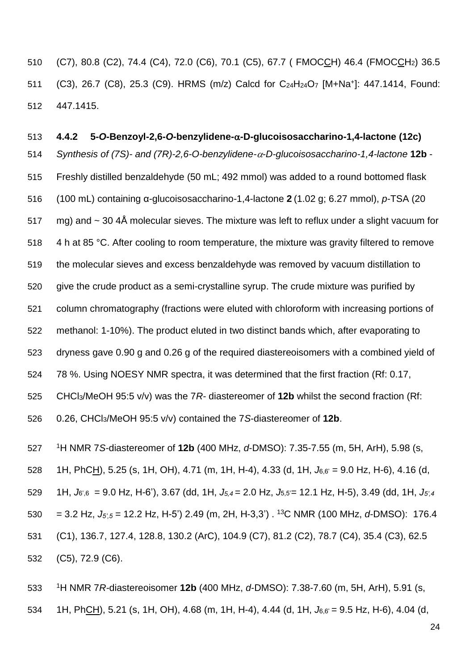(C7), 80.8 (C2), 74.4 (C4), 72.0 (C6), 70.1 (C5), 67.7 ( FMOCCH) 46.4 (FMOCCH2) 36.5 511 (C3), 26.7 (C8), 25.3 (C9). HRMS (m/z) Calcd for C<sub>24</sub>H<sub>24</sub>O<sub>7</sub> [M+Na<sup>+</sup>]: 447.1414, Found: 447.1415.

 **4.4.2 5-***O***-Benzoyl-2,6-***O***-benzylidene--D-glucoisosaccharino-1,4-lactone (12c)** *Synthesis of (7S)- and (7R)-2,6-O-benzylidene--D-glucoisosaccharino-1,4-lactone* **12b** - Freshly distilled benzaldehyde (50 mL; 492 mmol) was added to a round bottomed flask (100 mL) containing α-glucoisosaccharino-1,4-lactone **2** (1.02 g; 6.27 mmol), *p*-TSA (20 517 mg) and  $\sim$  30 4Å molecular sieves. The mixture was left to reflux under a slight vacuum for 518 4 h at 85 °C. After cooling to room temperature, the mixture was gravity filtered to remove the molecular sieves and excess benzaldehyde was removed by vacuum distillation to give the crude product as a semi-crystalline syrup. The crude mixture was purified by column chromatography (fractions were eluted with chloroform with increasing portions of methanol: 1-10%). The product eluted in two distinct bands which, after evaporating to dryness gave 0.90 g and 0.26 g of the required diastereoisomers with a combined yield of 78 %. Using NOESY NMR spectra, it was determined that the first fraction (Rf: 0.17, CHCl3/MeOH 95:5 v/v) was the 7*R-* diastereomer of **12b** whilst the second fraction (Rf: 0.26, CHCl3/MeOH 95:5 v/v) contained the 7*S*-diastereomer of **12b**.

<sup>1</sup>H NMR 7*S-*diastereomer of **12b** (400 MHz, *d*-DMSO): 7.35-7.55 (m, 5H, ArH), 5.98 (s,

1H, PhCH), 5.25 (s, 1H, OH), 4.71 (m, 1H, H-4), 4.33 (d, 1H, *J*6,6' = 9.0 Hz, H-6), 4.16 (d,

1H, *J*6',6 = 9.0 Hz, H-6'), 3.67 (dd, 1H, *J5,4* = 2.0 Hz, *J*5,5'= 12.1 Hz, H-5), 3.49 (dd, 1H, *J5',4*

 $= 3.2$  Hz,  $J_{5.5} = 12.2$  Hz, H-5<sup>'</sup>) 2.49 (m, 2H, H-3,3<sup>'</sup>) . <sup>13</sup>C NMR (100 MHz, *d*-DMSO): 176.4

(C1), 136.7, 127.4, 128.8, 130.2 (ArC), 104.9 (C7), 81.2 (C2), 78.7 (C4), 35.4 (C3), 62.5

(C5), 72.9 (C6).

 <sup>1</sup>H NMR 7*R-*diastereoisomer **12b** (400 MHz, *d*-DMSO): 7.38-7.60 (m, 5H, ArH), 5.91 (s, 1H, PhCH), 5.21 (s, 1H, OH), 4.68 (m, 1H, H-4), 4.44 (d, 1H, *J*6,6' = 9.5 Hz, H-6), 4.04 (d,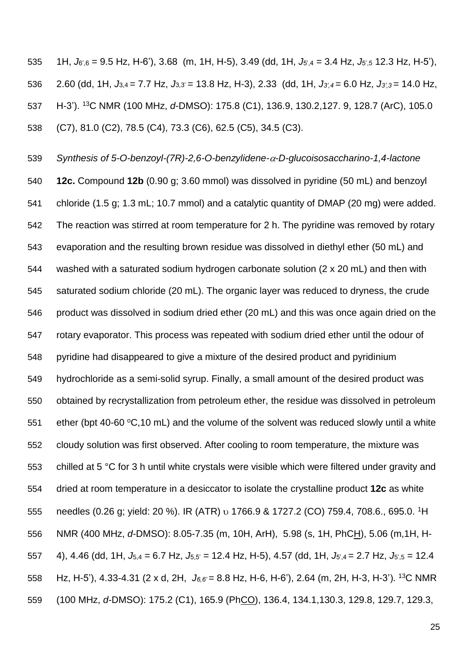1H, *J*6',6 = 9.5 Hz, H-6'), 3.68 (m, 1H, H-5), 3.49 (dd, 1H, *J*5',4 = 3.4 Hz, *J*5',5 12.3 Hz, H-5'), 2.60 (dd, 1H, *J*3,4 = 7.7 Hz, *J*3,3' = 13.8 Hz, H-3), 2.33 (dd, 1H, *J3',4* = 6.0 Hz, *J3',3* = 14.0 Hz, H-3'). <sup>13</sup>C NMR (100 MHz, *d*-DMSO): 175.8 (C1), 136.9, 130.2,127. 9, 128.7 (ArC), 105.0 (C7), 81.0 (C2), 78.5 (C4), 73.3 (C6), 62.5 (C5), 34.5 (C3).

 *Synthesis of 5-O-benzoyl-(7R)-2,6-O-benzylidene--D-glucoisosaccharino-1,4-lactone* **12c.** Compound **12b** (0.90 g; 3.60 mmol) was dissolved in pyridine (50 mL) and benzoyl chloride (1.5 g; 1.3 mL; 10.7 mmol) and a catalytic quantity of DMAP (20 mg) were added. The reaction was stirred at room temperature for 2 h. The pyridine was removed by rotary evaporation and the resulting brown residue was dissolved in diethyl ether (50 mL) and washed with a saturated sodium hydrogen carbonate solution (2 x 20 mL) and then with saturated sodium chloride (20 mL). The organic layer was reduced to dryness, the crude product was dissolved in sodium dried ether (20 mL) and this was once again dried on the rotary evaporator. This process was repeated with sodium dried ether until the odour of pyridine had disappeared to give a mixture of the desired product and pyridinium hydrochloride as a semi-solid syrup. Finally, a small amount of the desired product was obtained by recrystallization from petroleum ether, the residue was dissolved in petroleum 551 ether (bpt 40-60  $\textdegree$ C,10 mL) and the volume of the solvent was reduced slowly until a white cloudy solution was first observed. After cooling to room temperature, the mixture was chilled at 5 °C for 3 h until white crystals were visible which were filtered under gravity and dried at room temperature in a desiccator to isolate the crystalline product **12c** as white 555 needles (0.26 g; yield: 20 %). IR (ATR) v 1766.9 & 1727.2 (CO) 759.4, 708.6., 695.0. <sup>1</sup>H NMR (400 MHz, *d*-DMSO): 8.05-7.35 (m, 10H, ArH), 5.98 (s, 1H, PhCH), 5.06 (m,1H, H- 4), 4.46 (dd, 1H, *J*5,4 = 6.7 Hz, *J*5,5' = 12.4 Hz, H-5), 4.57 (dd, 1H, *J*5',4 = 2.7 Hz, *J*5',5 = 12.4 558 Hz, H-5'), 4.33-4.31 (2 x d, 2H,  $J_{6.6'} = 8.8$  Hz, H-6, H-6'), 2.64 (m, 2H, H-3, H-3'). <sup>13</sup>C NMR (100 MHz, *d*-DMSO): 175.2 (C1), 165.9 (PhCO), 136.4, 134.1,130.3, 129.8, 129.7, 129.3,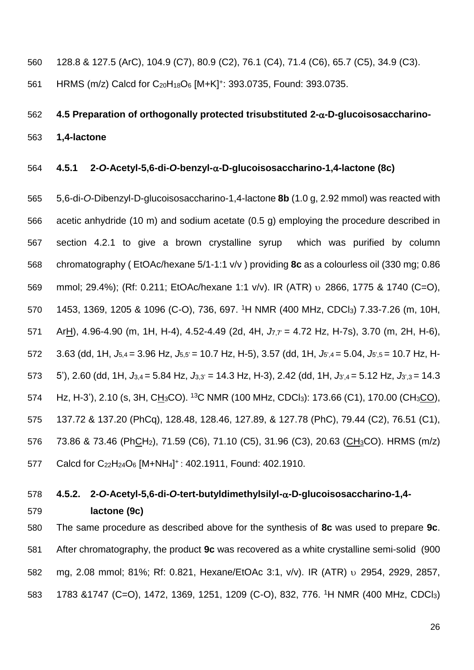- 560 128.8 & 127.5 (ArC), 104.9 (C7), 80.9 (C2), 76.1 (C4), 71.4 (C6), 65.7 (C5), 34.9 (C3).
- 561 HRMS (m/z) Calcd for C<sub>20</sub>H<sub>18</sub>O<sub>6</sub> [M+K]<sup>+</sup>: 393.0735, Found: 393.0735,

## 562 **4.5 Preparation of orthogonally protected trisubstituted 2--D-glucoisosaccharino-**563 **1,4-lactone**

#### 564 **4.5.1 2-***O***-Acetyl-5,6-di-***O***-benzyl--D-glucoisosaccharino-1,4-lactone (8c)**

565 5,6-di-*O*-Dibenzyl-D-glucoisosaccharino-1,4-lactone **8b** (1.0 g, 2.92 mmol) was reacted with 566 acetic anhydride (10 m) and sodium acetate (0.5 g) employing the procedure described in 567 section 4.2.1 to give a brown crystalline syrup which was purified by column 568 chromatography ( EtOAc/hexane 5/1-1:1 v/v ) providing **8c** as a colourless oil (330 mg; 0.86 569 mmol; 29.4%); (Rf: 0.211; EtOAc/hexane 1:1 v/v). IR (ATR) v 2866, 1775 & 1740 (C=O), 570 1453, 1369, 1205 & 1096 (C-O), 736, 697. <sup>1</sup>H NMR (400 MHz, CDCl<sub>3</sub>) 7.33-7.26 (m, 10H, 571 ArH), 4.96-4.90 (m, 1H, H-4), 4.52-4.49 (2d, 4H,  $J_{7.7}$  = 4.72 Hz, H-7s), 3.70 (m, 2H, H-6), 572 3.63 (dd, 1H, *J*5,4 = 3.96 Hz, *J*5,5' = 10.7 Hz, H-5), 3.57 (dd, 1H, *J*5',4 = 5.04, *J*5',5 = 10.7 Hz, H-573 5'), 2.60 (dd, 1H,  $J_{3,4} = 5.84$  Hz,  $J_{3,3'} = 14.3$  Hz, H-3), 2.42 (dd, 1H,  $J_{3',4} = 5.12$  Hz,  $J_{3',3} = 14.3$ 574 Hz, H-3'), 2.10 (s, 3H, CH<sub>3</sub>CO). <sup>13</sup>C NMR (100 MHz, CDCl<sub>3</sub>): 173.66 (C1), 170.00 (CH<sub>3</sub>CO), 575 137.72 & 137.20 (PhCq), 128.48, 128.46, 127.89, & 127.78 (PhC), 79.44 (C2), 76.51 (C1), 576 73.86 & 73.46 (PhCH<sub>2</sub>), 71.59 (C6), 71.10 (C5), 31.96 (C3), 20.63 (CH<sub>3</sub>CO). HRMS (m/z) 577 Calcd for C<sub>22</sub>H<sub>24</sub>O<sub>6</sub> [M+NH<sub>4</sub>]<sup>+</sup>: 402.1911, Found: 402.1910.

## 578 **4.5.2. 2-***O***-Acetyl-5,6-di-***O***-tert-butyldimethylsilyl--D-glucoisosaccharino-1,4-**

# 579 **lactone (9c)**

580 The same procedure as described above for the synthesis of **8c** was used to prepare **9c**. 581 After chromatography, the product **9c** was recovered as a white crystalline semi-solid (900 582 mg, 2.08 mmol; 81%; Rf: 0.821, Hexane/EtOAc 3:1, v/v). IR (ATR) v 2954, 2929, 2857, 583 1783 &1747 (C=O), 1472, 1369, 1251, 1209 (C-O), 832, 776. <sup>1</sup>H NMR (400 MHz, CDCl<sub>3</sub>)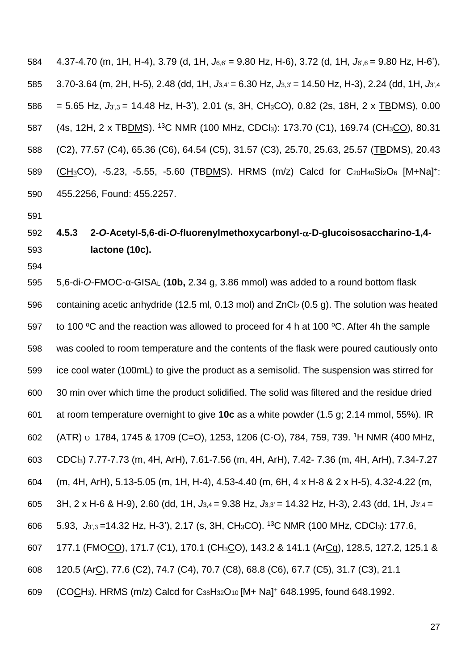4.37-4.70 (m, 1H, H-4), 3.79 (d, 1H, *J*6,6' = 9.80 Hz, H-6), 3.72 (d, 1H, *J*6',6 = 9.80 Hz, H-6'), 3.70-3.64 (m, 2H, H-5), 2.48 (dd, 1H, *J*3,4' = 6.30 Hz, *J*3,3' = 14.50 Hz, H-3), 2.24 (dd, 1H, *J*3',4 = 5.65 Hz, *J*3',3 = 14.48 Hz, H-3'), 2.01 (s, 3H, CH3CO), 0.82 (2s, 18H, 2 x TBDMS), 0.00 587 (4s, 12H, 2 x TBDMS). <sup>13</sup>C NMR (100 MHz, CDCl<sub>3</sub>): 173.70 (C1), 169.74 (CH<sub>3</sub>CO), 80.31 (C2), 77.57 (C4), 65.36 (C6), 64.54 (C5), 31.57 (C3), 25.70, 25.63, 25.57 (TBDMS), 20.43 589 (CH<sub>3</sub>CO), -5.23, -5.55, -5.60 (TBDMS). HRMS (m/z) Calcd for C<sub>20</sub>H<sub>40</sub>Si<sub>2</sub>O<sub>6</sub> [M+Na]<sup>+</sup>: 455.2256, Found: 455.2257.

### **4.5.3 2-***O***-Acetyl-5,6-di-***O***-fluorenylmethoxycarbonyl--D-glucoisosaccharino-1,4- lactone (10c).**

 5,6-di-*O*-FMOC-α-GISA<sup>L</sup> (**10b,** 2.34 g, 3.86 mmol) was added to a round bottom flask containing acetic anhydride (12.5 ml, 0.13 mol) and ZnCl2 (0.5 g). The solution was heated 597 to 100 °C and the reaction was allowed to proceed for 4 h at 100 °C. After 4h the sample was cooled to room temperature and the contents of the flask were poured cautiously onto ice cool water (100mL) to give the product as a semisolid. The suspension was stirred for 30 min over which time the product solidified. The solid was filtered and the residue dried at room temperature overnight to give **10c** as a white powder (1.5 g; 2.14 mmol, 55%). IR 602 (ATR) v 1784, 1745 & 1709 (C=O), 1253, 1206 (C-O), 784, 759, 739. <sup>1</sup>H NMR (400 MHz, CDCl3) 7.77-7.73 (m, 4H, ArH), 7.61-7.56 (m, 4H, ArH), 7.42- 7.36 (m, 4H, ArH), 7.34-7.27 (m, 4H, ArH), 5.13-5.05 (m, 1H, H-4), 4.53-4.40 (m, 6H, 4 x H-8 & 2 x H-5), 4.32-4.22 (m, 3H, 2 x H-6 & H-9), 2.60 (dd, 1H, *J*3,4 = 9.38 Hz, *J*3,3' = 14.32 Hz, H-3), 2.43 (dd, 1H, *J*3',4 = 606 5.93, *J<sub>3',3</sub>* = 14.32 Hz, H-3'), 2.17 (s, 3H, CH<sub>3</sub>CO). <sup>13</sup>C NMR (100 MHz, CDCl<sub>3</sub>): 177.6, 177.1 (FMOCO), 171.7 (C1), 170.1 (CH3CO), 143.2 & 141.1 (ArCq), 128.5, 127.2, 125.1 & 120.5 (ArC), 77.6 (C2), 74.7 (C4), 70.7 (C8), 68.8 (C6), 67.7 (C5), 31.7 (C3), 21.1 609 (COCH<sub>3</sub>). HRMS (m/z) Calcd for C<sub>38</sub>H<sub>32</sub>O<sub>10</sub> [M+ Na]<sup>+</sup> 648.1995, found 648.1992.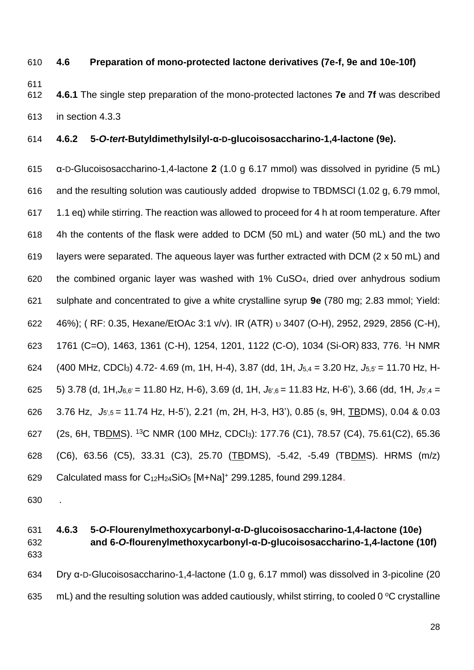#### **4.6 Preparation of mono-protected lactone derivatives (7e-f, 9e and 10e-10f)**

- 
- 
- **4.6.1** The single step preparation of the mono-protected lactones **7e** and **7f** was described in section 4.3.3

#### **4.6.2 5-***O***-***tert***-Butyldimethylsilyl-α-D-glucoisosaccharino-1,4-lactone (9e).**

 α-D-Glucoisosaccharino-1,4-lactone **2** (1.0 g 6.17 mmol) was dissolved in pyridine (5 mL) and the resulting solution was cautiously added dropwise to TBDMSCl (1.02 g, 6.79 mmol, 1.1 eq) while stirring. The reaction was allowed to proceed for 4 h at room temperature. After 4h the contents of the flask were added to DCM (50 mL) and water (50 mL) and the two layers were separated. The aqueous layer was further extracted with DCM (2 x 50 mL) and the combined organic layer was washed with 1% CuSO4, dried over anhydrous sodium sulphate and concentrated to give a white crystalline syrup **9e** (780 mg; 2.83 mmol; Yield: 46%); ( RF: 0.35, Hexane/EtOAc 3:1 v/v). IR (ATR) 3407 (O-H), 2952, 2929, 2856 (C-H), 623 1761 (C=O), 1463, 1361 (C-H), 1254, 1201, 1122 (C-O), 1034 (Si-OR) 833, 776, <sup>1</sup>H NMR (400 MHz, CDCl3) 4.72- 4.69 (m, 1H, H-4), 3.87 (dd, 1H, *J*5,4 = 3.20 Hz, *J*5,5' = 11.70 Hz, H- 5) 3.78 (d, 1H,*J*6,6' = 11.80 Hz, H-6), 3.69 (d, 1H, *J*6',6 = 11.83 Hz, H-6'), 3.66 (dd, 1H, *J*5',4 = 3.76 Hz, *J*5',5 = 11.74 Hz, H-5'), 2.21 (m, 2H, H-3, H3'), 0.85 (s, 9H, TBDMS), 0.04 & 0.03 627 (2s, 6H, TBDMS). <sup>13</sup>C NMR (100 MHz, CDCl<sub>3</sub>): 177.76 (C1), 78.57 (C4), 75.61(C2), 65.36 (C6), 63.56 (C5), 33.31 (C3), 25.70 (TBDMS), -5.42, -5.49 (TBDMS). HRMS (m/z) 629 Calculated mass for  $C_{12}H_{24}SiO_5$  [M+Na]<sup>+</sup> 299.1285, found 299.1284.

.

### **4.6.3 5-***O***-Flourenylmethoxycarbonyl-α-D-glucoisosaccharino-1,4-lactone (10e) and 6-***O***-flourenylmethoxycarbonyl-α-D-glucoisosaccharino-1,4-lactone (10f)** Dry α-D-Glucoisosaccharino-1,4-lactone (1.0 g, 6.17 mmol) was dissolved in 3-picoline (20

635 mL) and the resulting solution was added cautiously, whilst stirring, to cooled 0 °C crystalline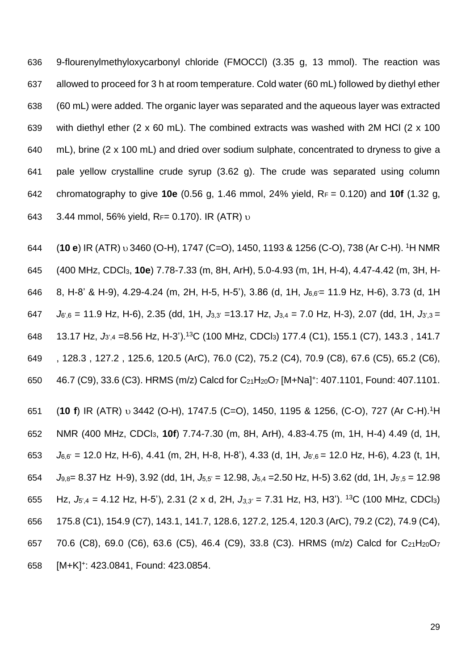9-flourenylmethyloxycarbonyl chloride (FMOCCl) (3.35 g, 13 mmol). The reaction was allowed to proceed for 3 h at room temperature. Cold water (60 mL) followed by diethyl ether (60 mL) were added. The organic layer was separated and the aqueous layer was extracted with diethyl ether (2 x 60 mL). The combined extracts was washed with 2M HCl (2 x 100 mL), brine (2 x 100 mL) and dried over sodium sulphate, concentrated to dryness to give a pale yellow crystalline crude syrup (3.62 g). The crude was separated using column chromatography to give **10e** (0.56 g, 1.46 mmol, 24% yield, R<sup>F</sup> = 0.120) and **10f** (1.32 g, 643 3.44 mmol, 56% yield,  $R_F = 0.170$ ). IR (ATR)  $\nu$ 

644 (**10 e**) IR (ATR)  $\upsilon$  3460 (O-H), 1747 (C=O), 1450, 1193 & 1256 (C-O), 738 (Ar C-H). <sup>1</sup>H NMR (400 MHz, CDCl3, **10e**) 7.78-7.33 (m, 8H, ArH), 5.0-4.93 (m, 1H, H-4), 4.47-4.42 (m, 3H, H- 8, H-8' & H-9), 4.29-4.24 (m, 2H, H-5, H-5'), 3.86 (d, 1H, *J*6,6'= 11.9 Hz, H-6), 3.73 (d, 1H *J*6',6 = 11.9 Hz, H-6), 2.35 (dd, 1H, *J*3,3' =13.17 Hz, *J*3,4 *=* 7.0 Hz, H-3), 2.07 (dd, 1H, *J*3',3 = 648 13.17 Hz,  $J_{3',4}$  =8.56 Hz, H-3').<sup>13</sup>C (100 MHz, CDCl<sub>3</sub>) 177.4 (C1), 155.1 (C7), 143.3, 141.7 , 128.3 , 127.2 , 125.6, 120.5 (ArC), 76.0 (C2), 75.2 (C4), 70.9 (C8), 67.6 (C5), 65.2 (C6),  $46.7$  (C9), 33.6 (C3). HRMS (m/z) Calcd for C<sub>21</sub>H<sub>20</sub>O<sub>7</sub> [M+Na]<sup>+</sup>: 407.1101, Found: 407.1101.

651 (**10 f**) IR (ATR) v 3442 (O-H), 1747.5 (C=O), 1450, 1195 & 1256, (C-O), 727 (Ar C-H).<sup>1</sup>H NMR (400 MHz, CDCl3, **10f**) 7.74-7.30 (m, 8H, ArH), 4.83-4.75 (m, 1H, H-4) 4.49 (d, 1H, *J*6,6' = 12.0 Hz, H-6), 4.41 (m, 2H, H-8, H-8'), 4.33 (d, 1H, *J*6',6 = 12.0 Hz, H-6), 4.23 (t, 1H, *J*9,8= 8.37 Hz H-9), 3.92 (dd, 1H, *J*5,5' = 12.98, *J*5,4 =2.50 Hz, H-5) 3.62 (dd, 1H, *J*5',5 = 12.98 655 Hz,  $J_{5,4} = 4.12$  Hz, H-5'), 2.31 (2 x d, 2H,  $J_{3,3'} = 7.31$  Hz, H3, H3'). <sup>13</sup>C (100 MHz, CDCl<sub>3</sub>) 175.8 (C1), 154.9 (C7), 143.1, 141.7, 128.6, 127.2, 125.4, 120.3 (ArC), 79.2 (C2), 74.9 (C4), 70.6 (C8), 69.0 (C6), 63.6 (C5), 46.4 (C9), 33.8 (C3). HRMS (m/z) Calcd for C21H20O<sup>7</sup> 658 [M+K]<sup>+</sup>: 423.0841, Found: 423.0854.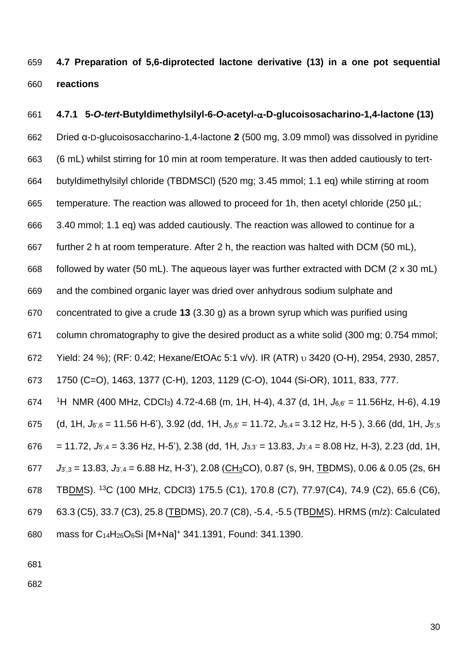**4.7 Preparation of 5,6-diprotected lactone derivative (13) in a one pot sequential reactions**

 **4.7.1 5-***O***-***tert***-Butyldimethylsilyl-6-***O***-acetyl--D-glucoisosacharino-1,4-lactone (13)** Dried α-D-glucoisosaccharino-1,4-lactone **2** (500 mg, 3.09 mmol) was dissolved in pyridine (6 mL) whilst stirring for 10 min at room temperature. It was then added cautiously to tert- butyldimethylsilyl chloride (TBDMSCl) (520 mg; 3.45 mmol; 1.1 eq) while stirring at room 665 temperature. The reaction was allowed to proceed for 1h, then acetyl chloride (250 µL; 3.40 mmol; 1.1 eq) was added cautiously. The reaction was allowed to continue for a further 2 h at room temperature. After 2 h, the reaction was halted with DCM (50 mL), followed by water (50 mL). The aqueous layer was further extracted with DCM (2 x 30 mL) and the combined organic layer was dried over anhydrous sodium sulphate and concentrated to give a crude **13** (3.30 g) as a brown syrup which was purified using column chromatography to give the desired product as a white solid (300 mg; 0.754 mmol; 672 Yield: 24 %); (RF: 0.42; Hexane/EtOAc 5:1 v/v). IR (ATR) v 3420 (O-H), 2954, 2930, 2857, 1750 (C=O), 1463, 1377 (C-H), 1203, 1129 (C-O), 1044 (Si-OR), 1011, 833, 777. <sup>1</sup>H NMR (400 MHz, CDCl3) 4.72-4.68 (m, 1H, H-4), 4.37 (d, 1H, *J*6,6' = 11.56Hz, H-6), 4.19 (d, 1H, *J*6',6 = 11.56 H-6'), 3.92 (dd, 1H, *J*5,5' = 11.72, *J*5,4 = 3.12 Hz, H-5 ), 3.66 (dd, 1H, *J*5',5 676 = 11.72,  $J_{5,4} = 3.36$  Hz, H-5'), 2.38 (dd, 1H,  $J_{3,3} = 13.83$ ,  $J_{3,4} = 8.08$  Hz, H-3), 2.23 (dd, 1H, *J*3',3 = 13.83, *J*3',4 = 6.88 Hz, H-3'), 2.08 (CH3CO), 0.87 (s, 9H, TBDMS), 0.06 & 0.05 (2s, 6H 678 TBDMS). <sup>13</sup>C (100 MHz, CDCl3) 175.5 (C1), 170.8 (C7), 77.97 (C4), 74.9 (C2), 65.6 (C6), 63.3 (C5), 33.7 (C3), 25.8 (TBDMS), 20.7 (C8), -5.4, -5.5 (TBDMS). HRMS (m/z): Calculated mass for C14H26O6Si [M+Na]<sup>+</sup> 341.1391, Found: 341.1390.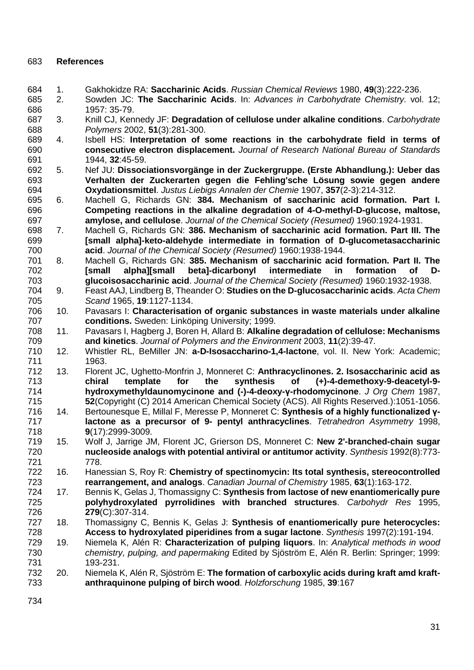#### **References**

- <span id="page-31-0"></span>1. Gakhokidze RA: **Saccharinic Acids**. *Russian Chemical Reviews* 1980, **49**(3):222-236.
- <span id="page-31-1"></span> 2. Sowden JC: **The Saccharinic Acids**. In: *Advances in Carbohydrate Chemistry.* vol. 12; 1957: 35-79.
- <span id="page-31-2"></span> 3. Knill CJ, Kennedy JF: **Degradation of cellulose under alkaline conditions**. *Carbohydrate Polymers* 2002, **51**(3):281-300.
- <span id="page-31-3"></span> 4. Isbell HS: **Interpretation of some reactions in the carbohydrate field in terms of consecutive electron displacement.** *Journal of Research National Bureau of Standards*  1944, **32**:45-59.
- <span id="page-31-4"></span> 5. Nef JU: **Dissociationsvorgänge in der Zuckergruppe. (Erste Abhandlung.): Ueber das Verhalten der Zuckerarten gegen die Fehling'sche Lösung sowie gegen andere Oxydationsmittel**. *Justus Liebigs Annalen der Chemie* 1907, **357**(2-3):214-312.
- <span id="page-31-5"></span> 6. Machell G, Richards GN: **384. Mechanism of saccharinic acid formation. Part I. Competing reactions in the alkaline degradation of 4-O-methyl-D-glucose, maltose, amylose, and cellulose**. *Journal of the Chemical Society (Resumed)* 1960:1924-1931.
- 7. Machell G, Richards GN: **386. Mechanism of saccharinic acid formation. Part III. The [small alpha]-keto-aldehyde intermediate in formation of D-glucometasaccharinic acid**. *Journal of the Chemical Society (Resumed)* 1960:1938-1944.
- 8. Machell G, Richards GN: **385. Mechanism of saccharinic acid formation. Part II. The [small alpha][small beta]-dicarbonyl intermediate in formation of D-glucoisosaccharinic acid**. *Journal of the Chemical Society (Resumed)* 1960:1932-1938.
- <span id="page-31-6"></span> 9. Feast AAJ, Lindberg B, Theander O: **Studies on the D-glucosaccharinic acids**. *Acta Chem Scand* 1965, **19**:1127-1134.
- 10. Pavasars I: **Characterisation of organic substances in waste materials under alkaline conditions.** Sweden: Linköping University; 1999.
- 11. Pavasars I, Hagberg J, Boren H, Allard B: **Alkaline degradation of cellulose: Mechanisms and kinetics**. *Journal of Polymers and the Environment* 2003, **11**(2):39-47.
- <span id="page-31-7"></span> 12. Whistler RL, BeMiller JN: **a-D-Isosaccharino-1,4-lactone**, vol. II. New York: Academic; 1963.
- <span id="page-31-8"></span> 13. Florent JC, Ughetto-Monfrin J, Monneret C: **Anthracyclinones. 2. Isosaccharinic acid as chiral template for the synthesis of (+)-4-demethoxy-9-deacetyl-9- hydroxymethyldaunomycinone and (-)-4-deoxy-γ-rhodomycinone**. *J Org Chem* 1987, **52**(Copyright (C) 2014 American Chemical Society (ACS). All Rights Reserved.):1051-1056.
- <span id="page-31-9"></span> 14. Bertounesque E, Millal F, Meresse P, Monneret C: **Synthesis of a highly functionalized γ- lactone as a precursor of 9- pentyl anthracyclines**. *Tetrahedron Asymmetry* 1998, **9**(17):2999-3009.
- <span id="page-31-10"></span> 15. Wolf J, Jarrige JM, Florent JC, Grierson DS, Monneret C: **New 2'-branched-chain sugar nucleoside analogs with potential antiviral or antitumor activity**. *Synthesis* 1992(8):773- 778.
- <span id="page-31-11"></span> 16. Hanessian S, Roy R: **Chemistry of spectinomycin: Its total synthesis, stereocontrolled rearrangement, and analogs**. *Canadian Journal of Chemistry* 1985, **63**(1):163-172.
- <span id="page-31-12"></span> 17. Bennis K, Gelas J, Thomassigny C: **Synthesis from lactose of new enantiomerically pure polyhydroxylated pyrrolidines with branched structures**. *Carbohydr Res* 1995, **279**(C):307-314.
- <span id="page-31-13"></span> 18. Thomassigny C, Bennis K, Gelas J: **Synthesis of enantiomerically pure heterocycles: Access to hydroxylated piperidines from a sugar lactone**. *Synthesis* 1997(2):191-194.
- <span id="page-31-14"></span> 19. Niemela K, Alén R: **Characterization of pulping liquors**. In: *Analytical methods in wood chemistry, pulping, and papermaking* Edited by Sjöström E, Alén R. Berlin: Springer; 1999: 193-231.
- 20. Niemela K, Alén R, Sjöström E: **The formation of carboxylic acids during kraft amd kraft-anthraquinone pulping of birch wood**. *Holzforschung* 1985, **39**:167
-